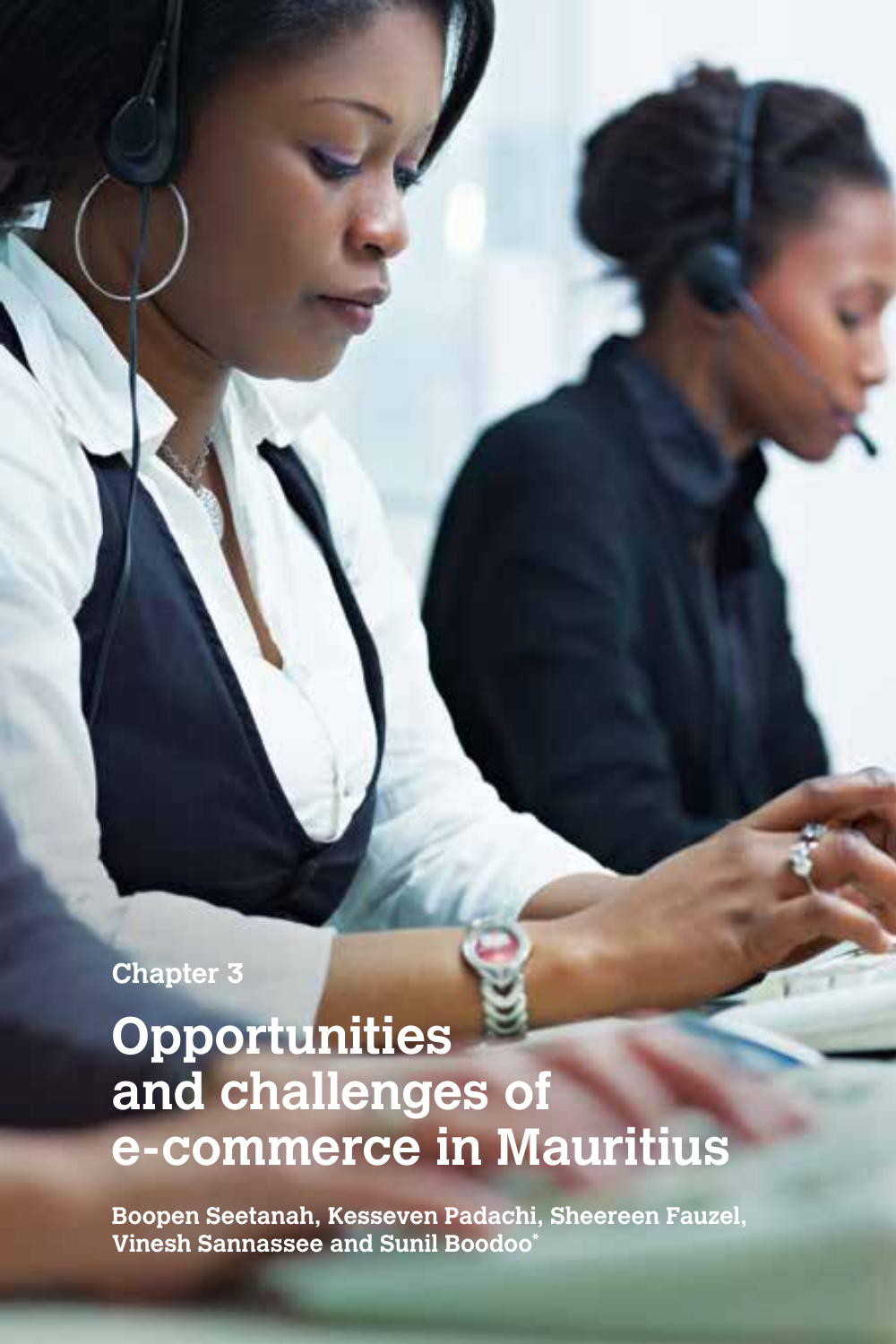**Chapter 3**

# **Opportunities and challenges of e-commerce in Mauritius**

**Boopen Seetanah, Kesseven Padachi, Sheereen Fauzel, Vinesh Sannassee and Sunil Boodoo\***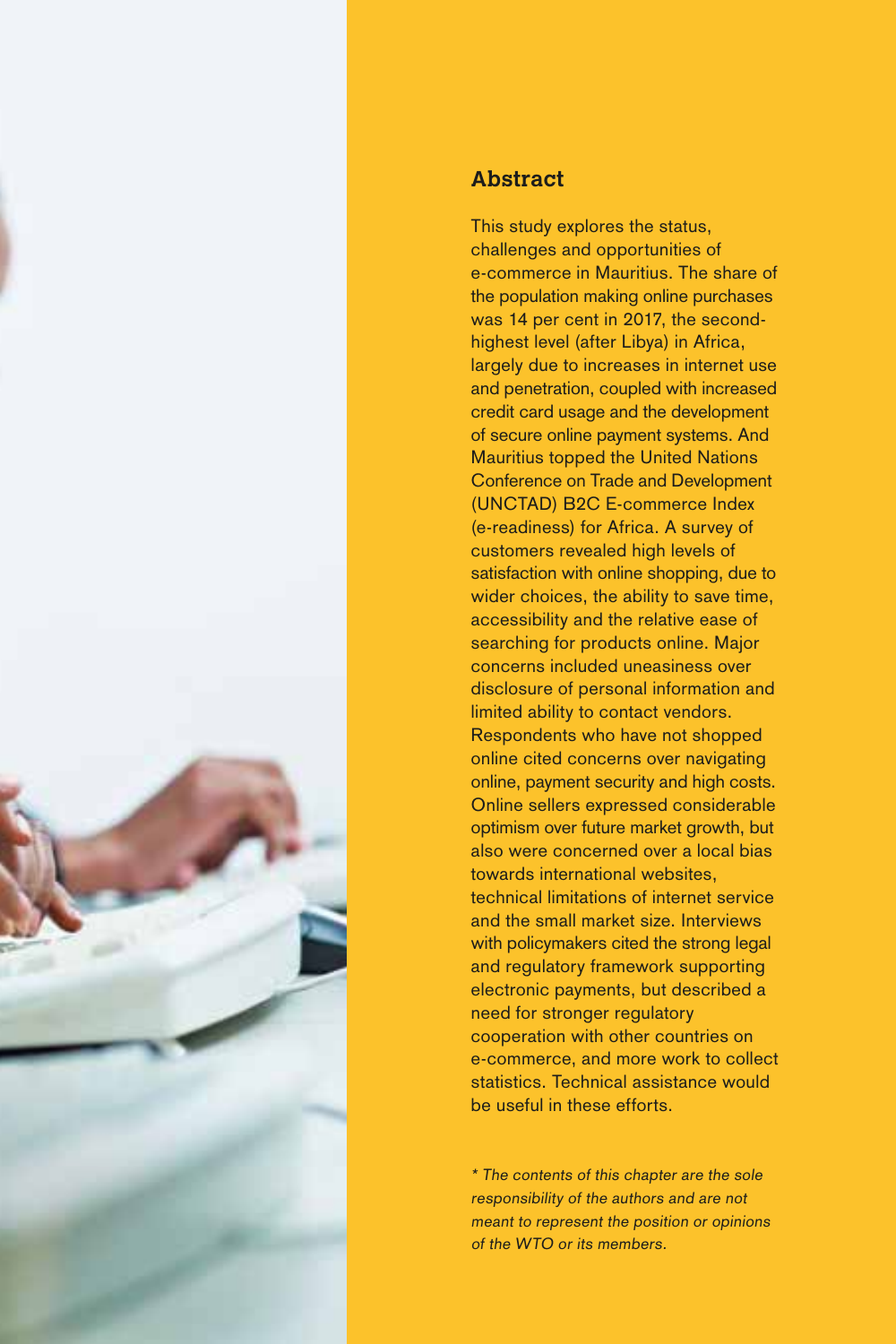

## **Abstract**

This study explores the status, challenges and opportunities of e-commerce in Mauritius. The share of the population making online purchases was 14 per cent in 2017, the secondhighest level (after Libya) in Africa, largely due to increases in internet use and penetration, coupled with increased credit card usage and the development of secure online payment systems. And Mauritius topped the United Nations Conference on Trade and Development (UNCTAD) B2C E-commerce Index (e-readiness) for Africa. A survey of customers revealed high levels of satisfaction with online shopping, due to wider choices, the ability to save time, accessibility and the relative ease of searching for products online. Major concerns included uneasiness over disclosure of personal information and limited ability to contact vendors. Respondents who have not shopped online cited concerns over navigating online, payment security and high costs. Online sellers expressed considerable optimism over future market growth, but also were concerned over a local bias towards international websites, technical limitations of internet service and the small market size. Interviews with policymakers cited the strong legal and regulatory framework supporting electronic payments, but described a need for stronger regulatory cooperation with other countries on e-commerce, and more work to collect statistics. Technical assistance would be useful in these efforts.

\* The contents of this chapter are the sole responsibility of the authors and are not meant to represent the position or opinions of the WTO or its members.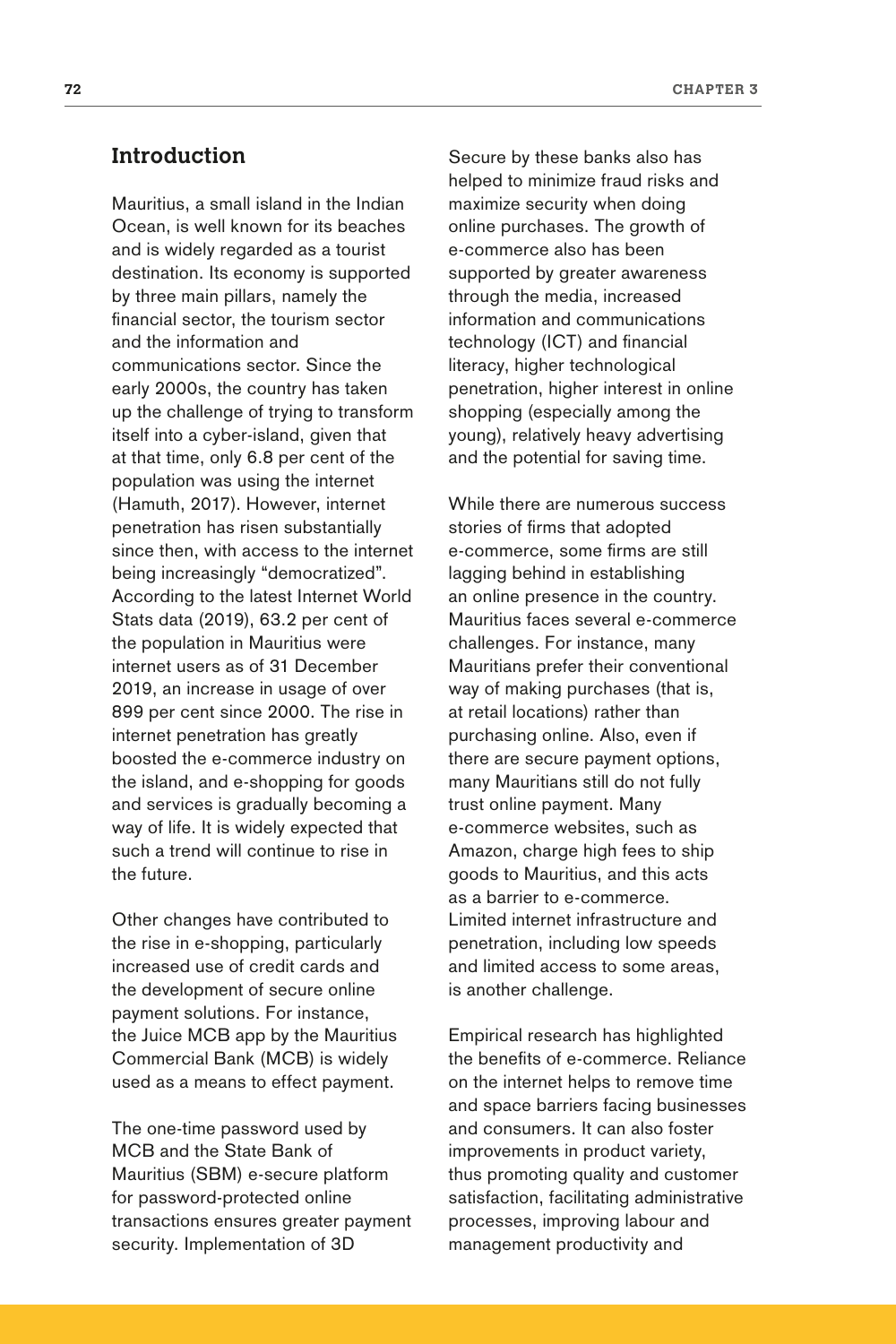## **Introduction**

Mauritius, a small island in the Indian Ocean, is well known for its beaches and is widely regarded as a tourist destination. Its economy is supported by three main pillars, namely the financial sector, the tourism sector and the information and communications sector. Since the early 2000s, the country has taken up the challenge of trying to transform itself into a cyber-island, given that at that time, only 6.8 per cent of the population was using the internet (Hamuth, 2017). However, internet penetration has risen substantially since then, with access to the internet being increasingly "democratized". According to the latest Internet World Stats data (2019), 63.2 per cent of the population in Mauritius were internet users as of 31 December 2019, an increase in usage of over 899 per cent since 2000. The rise in internet penetration has greatly boosted the e-commerce industry on the island, and e-shopping for goods and services is gradually becoming a way of life. It is widely expected that such a trend will continue to rise in the future.

Other changes have contributed to the rise in e-shopping, particularly increased use of credit cards and the development of secure online payment solutions. For instance, the Juice MCB app by the Mauritius Commercial Bank (MCB) is widely used as a means to effect payment.

The one-time password used by MCB and the State Bank of Mauritius (SBM) e-secure platform for password-protected online transactions ensures greater payment security. Implementation of [3D](http://blog.directpay.online/is-3d-secure-right-for-your-business) 

[Secure](http://blog.directpay.online/is-3d-secure-right-for-your-business) by these banks also has helped to [minimize fraud risks](http://blog.directpay.online/mastercard-security-features-and-fraud-prevention-strategies) and maximize security when doing online purchases. The growth of e-commerce also has been supported by greater awareness through the media, increased information and communications technology (ICT) and financial literacy, higher technological penetration, higher interest in online shopping (especially among the young), relatively heavy advertising and the potential for saving time.

While there are numerous success stories of firms that adopted e-commerce, some firms are still lagging behind in establishing an online presence in the country. Mauritius faces several e-commerce challenges. For instance, many Mauritians prefer their conventional way of making purchases (that is, at retail locations) rather than purchasing online. Also, even if there are secure payment options, many Mauritians still do not fully trust online payment. Many e-commerce websites, such as Amazon, charge high fees to ship goods to Mauritius, and this acts as a barrier to e-commerce. Limited internet infrastructure and penetration, including low speeds and limited access to some areas, is another challenge.

Empirical research has highlighted the benefits of e-commerce. Reliance on the internet helps to remove time and space barriers facing businesses and consumers. It can also foster improvements in product variety, thus promoting quality and customer satisfaction, facilitating administrative processes, improving labour and management productivity and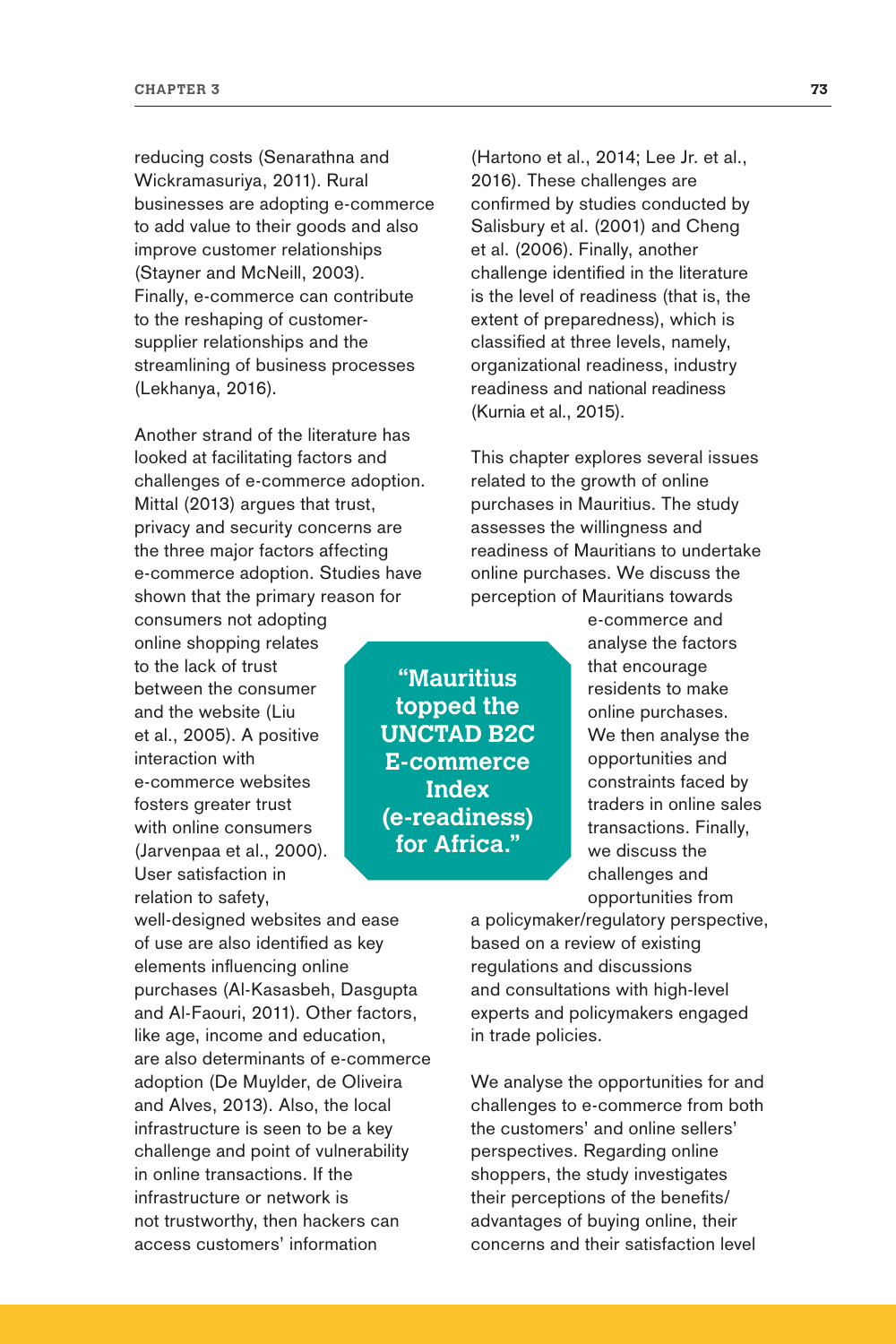reducing costs (Senarathna and Wickramasuriya, 2011). Rural businesses are adopting e-commerce to add value to their goods and also improve customer relationships (Stayner and McNeill, 2003). Finally, e-commerce can contribute to the reshaping of customersupplier relationships and the streamlining of business processes (Lekhanya, 2016).

Another strand of the literature has looked at facilitating factors and challenges of e-commerce adoption. Mittal (2013) argues that trust, privacy and security concerns are the three major factors affecting e-commerce adoption. Studies have shown that the primary reason for

consumers not adopting online shopping relates to the lack of trust between the consumer and the website (Liu et al., 2005). A positive interaction with e-commerce websites fosters greater trust with online consumers (Jarvenpaa et al., 2000). User satisfaction in relation to safety,

well-designed websites and ease of use are also identified as key elements influencing online purchases (Al-Kasasbeh, Dasgupta and Al-Faouri, 2011). Other factors, like age, income and education, are also determinants of e-commerce adoption (De Muylder, de Oliveira and Alves, 2013). Also, the local infrastructure is seen to be a key challenge and point of vulnerability in online transactions. If the infrastructure or network is not trustworthy, then hackers can access customers' information

(Hartono et al., 2014; Lee Jr. et al., 2016). These challenges are confirmed by studies conducted by Salisbury et al. (2001) and Cheng et al. (2006). Finally, another challenge identified in the literature is the level of readiness (that is, the extent of preparedness), which is classified at three levels, namely, organizational readiness, industry readiness and national readiness (Kurnia et al., 2015).

This chapter explores several issues related to the growth of online purchases in Mauritius. The study assesses the willingness and readiness of Mauritians to undertake online purchases. We discuss the perception of Mauritians towards

**"Mauritius topped the UNCTAD B2C E-commerce Index (e-readiness) for Africa."**

e-commerce and analyse the factors that encourage residents to make online purchases. We then analyse the opportunities and constraints faced by traders in online sales transactions. Finally, we discuss the challenges and opportunities from

a policymaker/regulatory perspective, based on a review of existing regulations and discussions and consultations with high-level experts and policymakers engaged in trade policies.

We analyse the opportunities for and challenges to e-commerce from both the customers' and online sellers' perspectives. Regarding online shoppers, the study investigates their perceptions of the benefits/ advantages of buying online, their concerns and their satisfaction level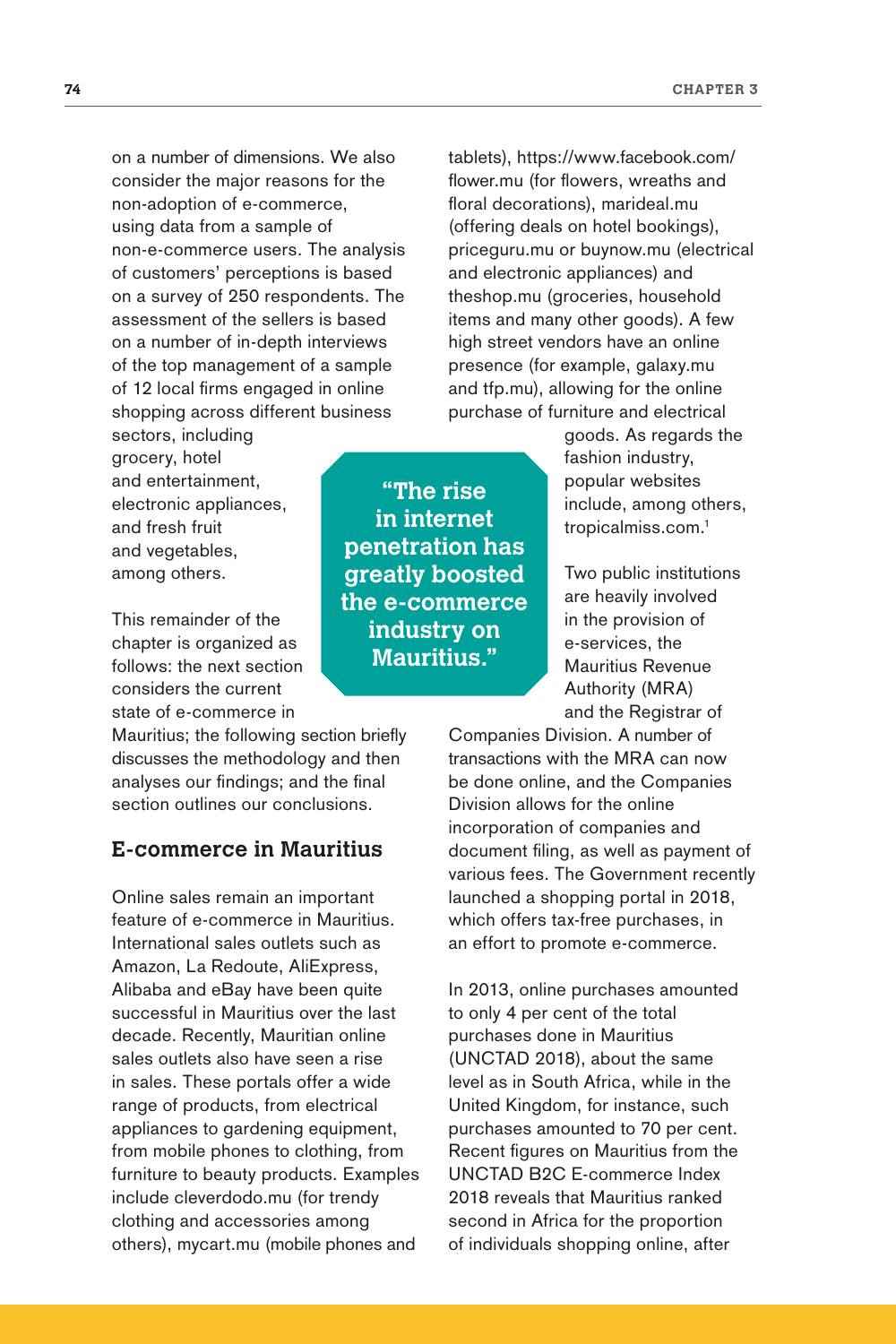on a number of dimensions. We also consider the major reasons for the non-adoption of e-commerce, using data from a sample of non-e-commerce users. The analysis of customers' perceptions is based on a survey of 250 respondents. The assessment of the sellers is based on a number of in-depth interviews of the top management of a sample of 12 local firms engaged in online shopping across different business

sectors, including grocery, hotel and entertainment, electronic appliances, and fresh fruit and vegetables, among others.

This remainder of the chapter is organized as follows: the next section considers the current state of e-commerce in

Mauritius; the following section briefly discusses the methodology and then analyses our findings; and the final section outlines our conclusions.

## **E-commerce in Mauritius**

Online sales remain an important feature of e-commerce in Mauritius. International sales outlets such as Amazon, La Redoute, AliExpress, Alibaba and eBay have been quite successful in Mauritius over the last decade. Recently, Mauritian online sales outlets also have seen a rise in sales. These portals offer a wide range of products, from electrical appliances to gardening equipment, from mobile phones to clothing, from furniture to beauty products. Examples include cleverdodo.mu (for trendy clothing and accessories among others), mycart.mu (mobile phones and

**"The rise in internet penetration has greatly boosted the e-commerce industry on Mauritius."**

tablets), https://www.facebook.com/ flower.mu (for flowers, wreaths and floral decorations), marideal.mu (offering deals on hotel bookings), priceguru.mu or buynow.mu (electrical and electronic appliances) and theshop.mu (groceries, household items and many other goods). A few high street vendors have an online presence (for example, galaxy.mu and tfp.mu), allowing for the online purchase of furniture and electrical

> goods. As regards the fashion industry, popular websites include, among others, tropicalmiss.com.1

Two public institutions are heavily involved in the provision of e-services, the Mauritius Revenue Authority (MRA) and the Registrar of

Companies Division. A number of transactions with the MRA can now be done online, and the Companies Division allows for the online incorporation of companies and document filing, as well as payment of various fees. The Government recently launched a shopping portal in 2018, which offers tax-free purchases, in an effort to promote e-commerce.

In 2013, online purchases amounted to only 4 per cent of the total purchases done in Mauritius (UNCTAD 2018), about the same level as in South Africa, while in the United Kingdom, for instance, such purchases amounted to 70 per cent. Recent figures on Mauritius from the UNCTAD B2C E-commerce Index 2018 reveals that Mauritius ranked second in Africa for the proportion of individuals shopping online, after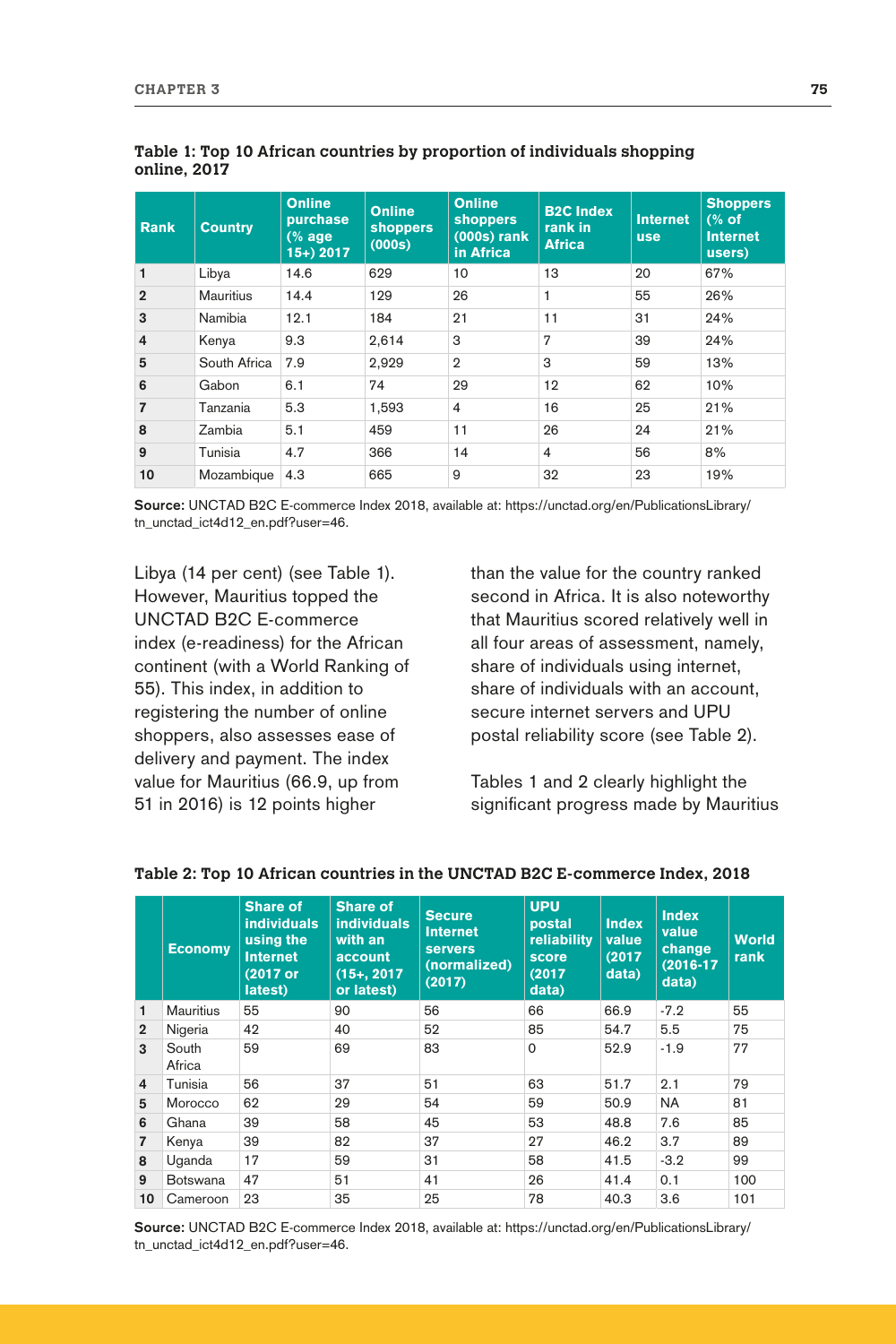| <b>Rank</b>    | <b>Country</b>   | <b>Online</b><br>purchase<br>$(%$ age<br>$15+$ ) 2017 | <b>Online</b><br><b>shoppers</b><br>(000s) | <b>Online</b><br><b>shoppers</b><br>$(000s)$ rank<br>in Africa | <b>B2C Index</b><br>rank in<br><b>Africa</b> | <b>Internet</b><br><b>use</b> | <b>Shoppers</b><br>(% of<br><b>Internet</b><br>users) |
|----------------|------------------|-------------------------------------------------------|--------------------------------------------|----------------------------------------------------------------|----------------------------------------------|-------------------------------|-------------------------------------------------------|
| 1              | Libya            | 14.6                                                  | 629                                        | 10                                                             | 13                                           | 20                            | 67%                                                   |
| $\overline{2}$ | <b>Mauritius</b> | 14.4                                                  | 129                                        | 26                                                             | 1                                            | 55                            | 26%                                                   |
| 3              | Namibia          | 12.1                                                  | 184                                        | 21                                                             | 11                                           | 31                            | 24%                                                   |
| $\overline{4}$ | Kenya            | 9.3                                                   | 2,614                                      | 3                                                              | 7                                            | 39                            | 24%                                                   |
| 5              | South Africa     | 7.9                                                   | 2,929                                      | $\overline{2}$                                                 | 3                                            | 59                            | 13%                                                   |
| 6              | Gabon            | 6.1                                                   | 74                                         | 29                                                             | 12                                           | 62                            | 10%                                                   |
| $\overline{7}$ | Tanzania         | 5.3                                                   | 1,593                                      | $\overline{4}$                                                 | 16                                           | 25                            | 21%                                                   |
| 8              | Zambia           | 5.1                                                   | 459                                        | 11                                                             | 26                                           | 24                            | 21%                                                   |
| 9              | Tunisia          | 4.7                                                   | 366                                        | 14                                                             | $\overline{4}$                               | 56                            | 8%                                                    |
| 10             | Mozambique       | 4.3                                                   | 665                                        | 9                                                              | 32                                           | 23                            | 19%                                                   |

#### **Table 1: Top 10 African countries by proportion of individuals shopping online, 2017**

**Source:** UNCTAD B2C E-commerce Index 2018, available at: [https://unctad.org/en/PublicationsLibrary/](https://unctad.org/en/PublicationsLibrary/tn_unctad_ict4d12_en.pdf?user=46) [tn\\_unctad\\_ict4d12\\_en.pdf?user=46.](https://unctad.org/en/PublicationsLibrary/tn_unctad_ict4d12_en.pdf?user=46)

Libya (14 per cent) (see Table 1). However, Mauritius topped the UNCTAD B2C E-commerce index (e-readiness) for the African continent (with a World Ranking of 55). This index, in addition to registering the number of online shoppers, also assesses ease of delivery and payment. The index value for Mauritius (66.9, up from 51 in 2016) is 12 points higher

than the value for the country ranked second in Africa. It is also noteworthy that Mauritius scored relatively well in all four areas of assessment, namely, share of individuals using internet, share of individuals with an account, secure internet servers and UPU postal reliability score (see Table 2).

Tables 1 and 2 clearly highlight the significant progress made by Mauritius

|                | <b>Economy</b>   | <b>Share of</b><br><b>individuals</b><br>using the<br>Internet<br>(2017 or<br>latest) | <b>Share of</b><br><b>individuals</b><br>with an<br>account<br>$(15+, 2017)$<br>or latest) | <b>Secure</b><br><b>Internet</b><br><b>servers</b><br>(normalized)<br>(2017) | <b>UPU</b><br>postal<br>reliability<br>score<br>(2017)<br>data) | <b>Index</b><br>value<br>(2017)<br>data) | <b>Index</b><br>value<br>change<br>$(2016 - 17)$<br>data) | <b>World</b><br>rank |
|----------------|------------------|---------------------------------------------------------------------------------------|--------------------------------------------------------------------------------------------|------------------------------------------------------------------------------|-----------------------------------------------------------------|------------------------------------------|-----------------------------------------------------------|----------------------|
| 1              | <b>Mauritius</b> | 55                                                                                    | 90                                                                                         | 56                                                                           | 66                                                              | 66.9                                     | $-7.2$                                                    | 55                   |
| $\overline{2}$ | Nigeria          | 42                                                                                    | 40                                                                                         | 52                                                                           | 85                                                              | 54.7                                     | 5.5                                                       | 75                   |
| 3              | South<br>Africa  | 59                                                                                    | 69                                                                                         | 83                                                                           | $\Omega$                                                        | 52.9                                     | $-1.9$                                                    | 77                   |
| 4              | Tunisia          | 56                                                                                    | 37                                                                                         | 51                                                                           | 63                                                              | 51.7                                     | 2.1                                                       | 79                   |
| 5              | Morocco          | 62                                                                                    | 29                                                                                         | 54                                                                           | 59                                                              | 50.9                                     | <b>NA</b>                                                 | 81                   |
| 6              | Ghana            | 39                                                                                    | 58                                                                                         | 45                                                                           | 53                                                              | 48.8                                     | 7.6                                                       | 85                   |
| $\overline{7}$ | Kenya            | 39                                                                                    | 82                                                                                         | 37                                                                           | 27                                                              | 46.2                                     | 3.7                                                       | 89                   |
| 8              | Uganda           | 17                                                                                    | 59                                                                                         | 31                                                                           | 58                                                              | 41.5                                     | $-3.2$                                                    | 99                   |
| 9              | <b>Botswana</b>  | 47                                                                                    | 51                                                                                         | 41                                                                           | 26                                                              | 41.4                                     | 0.1                                                       | 100                  |
| 10             | Cameroon         | 23                                                                                    | 35                                                                                         | 25                                                                           | 78                                                              | 40.3                                     | 3.6                                                       | 101                  |

#### **Table 2: Top 10 African countries in the UNCTAD B2C E-commerce Index, 2018**

**Source:** UNCTAD B2C E-commerce Index 2018, available at: [https://unctad.org/en/PublicationsLibrary/](https://unctad.org/en/PublicationsLibrary/tn_unctad_ict4d12_en.pdf?user=46) [tn\\_unctad\\_ict4d12\\_en.pdf?user=46.](https://unctad.org/en/PublicationsLibrary/tn_unctad_ict4d12_en.pdf?user=46)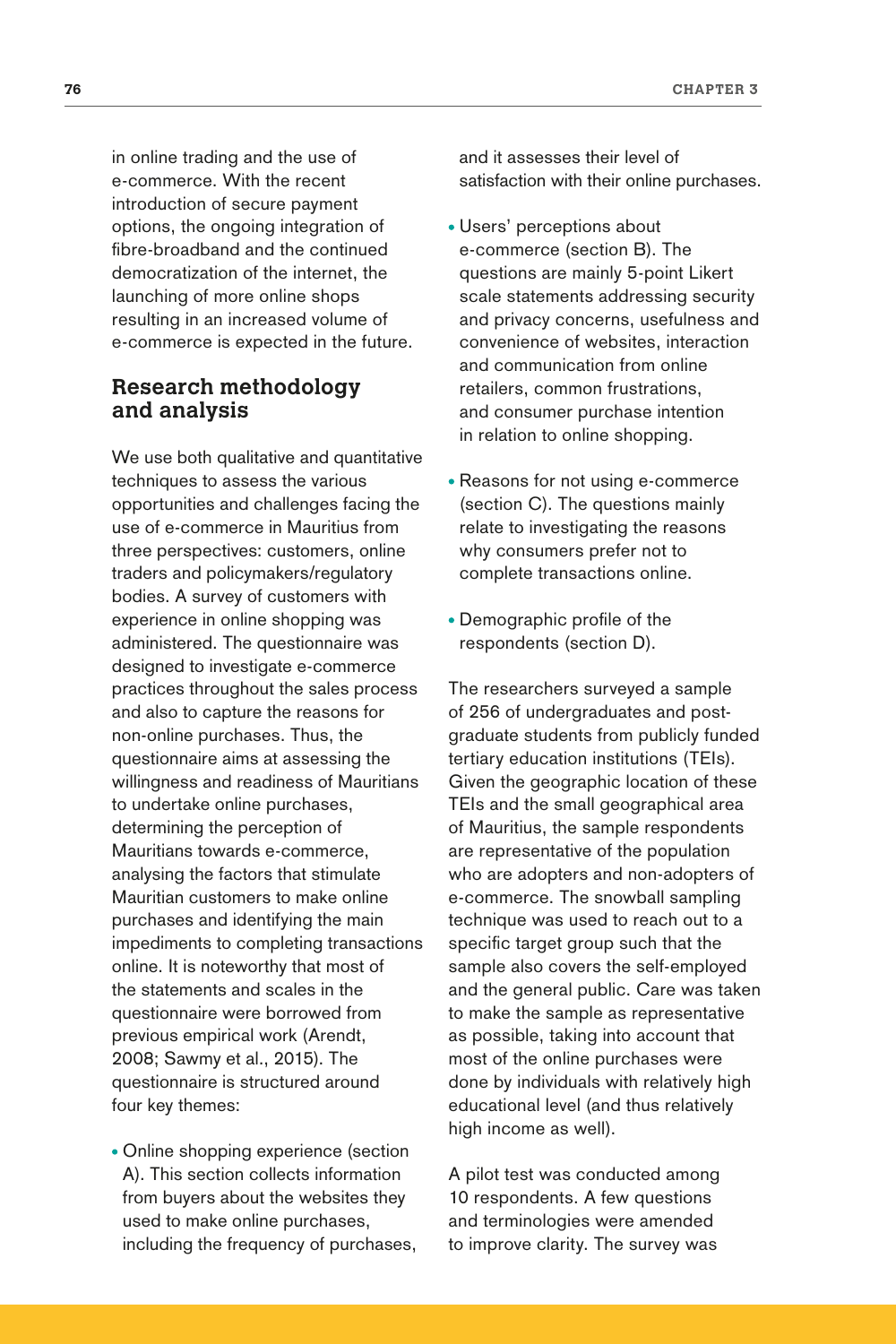in online trading and the use of e-commerce. With the recent introduction of secure payment options, the ongoing integration of fibre-broadband and the continued democratization of the internet, the launching of more online shops resulting in an increased volume of e-commerce is expected in the future.

## **Research methodology and analysis**

We use both qualitative and quantitative techniques to assess the various opportunities and challenges facing the use of e-commerce in Mauritius from three perspectives: customers, online traders and policymakers/regulatory bodies. A survey of customers with experience in online shopping was administered. The questionnaire was designed to investigate e-commerce practices throughout the sales process and also to capture the reasons for non-online purchases. Thus, the questionnaire aims at assessing the willingness and readiness of Mauritians to undertake online purchases, determining the perception of Mauritians towards e-commerce, analysing the factors that stimulate Mauritian customers to make online purchases and identifying the main impediments to completing transactions online. It is noteworthy that most of the statements and scales in the questionnaire were borrowed from previous empirical work (Arendt, 2008; Sawmy et al., 2015). The questionnaire is structured around four key themes:

Online shopping experience (section A). This section collects information from buyers about the websites they used to make online purchases, including the frequency of purchases, and it assesses their level of satisfaction with their online purchases.

- Users' perceptions about e-commerce (section B). The questions are mainly 5-point Likert scale statements addressing security and privacy concerns, usefulness and convenience of websites, interaction and communication from online retailers, common frustrations, and consumer purchase intention in relation to online shopping.
- Reasons for not using e-commerce (section C). The questions mainly relate to investigating the reasons why consumers prefer not to complete transactions online.
- Demographic profile of the respondents (section D).

The researchers surveyed a sample of 256 of undergraduates and postgraduate students from publicly funded tertiary education institutions (TEIs). Given the geographic location of these TEIs and the small geographical area of Mauritius, the sample respondents are representative of the population who are adopters and non-adopters of e-commerce. The snowball sampling technique was used to reach out to a specific target group such that the sample also covers the self-employed and the general public. Care was taken to make the sample as representative as possible, taking into account that most of the online purchases were done by individuals with relatively high educational level (and thus relatively high income as well).

A pilot test was conducted among 10 respondents. A few questions and terminologies were amended to improve clarity. The survey was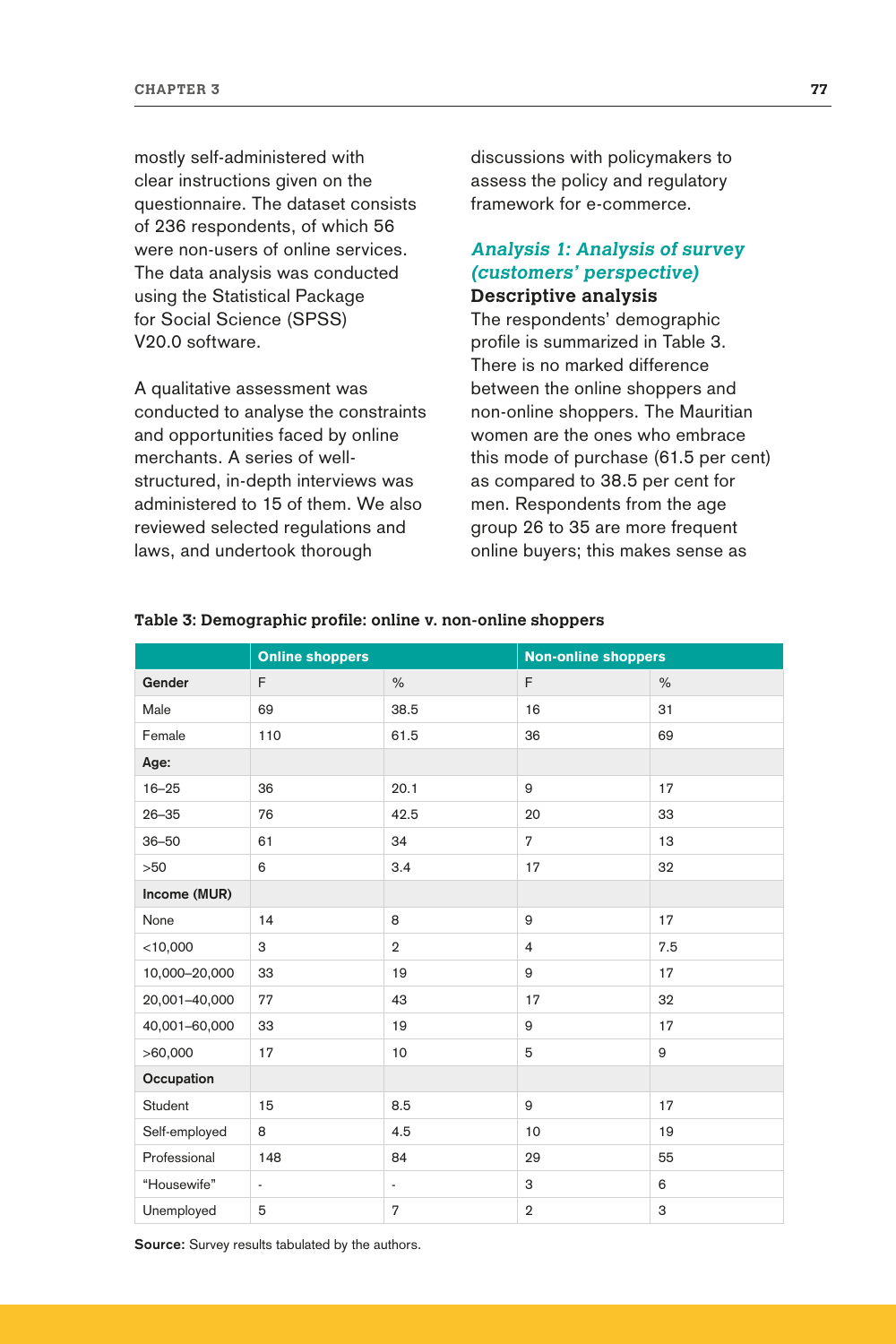mostly self-administered with clear instructions given on the questionnaire. The dataset consists of 236 respondents, of which 56 were non-users of online services. The data analysis was conducted using the Statistical Package for Social Science (SPSS) V20.0 software.

A qualitative assessment was conducted to analyse the constraints and opportunities faced by online merchants. A series of wellstructured, in-depth interviews was administered to 15 of them. We also reviewed selected regulations and laws, and undertook thorough

discussions with policymakers to assess the policy and regulatory framework for e-commerce.

## **Analysis 1: Analysis of survey (customers' perspective) Descriptive analysis**

The respondents' demographic profile is summarized in Table 3. There is no marked difference between the online shoppers and non-online shoppers. The Mauritian women are the ones who embrace this mode of purchase (61.5 per cent) as compared to 38.5 per cent for men. Respondents from the age group 26 to 35 are more frequent online buyers; this makes sense as

|               | <b>Online shoppers</b> |                          | <b>Non-online shoppers</b> |               |  |
|---------------|------------------------|--------------------------|----------------------------|---------------|--|
| Gender        | F                      | $\%$                     | F                          | $\frac{0}{0}$ |  |
| Male          | 69                     | 38.5                     | 16                         | 31            |  |
| Female        | 110                    | 61.5                     | 36                         | 69            |  |
| Age:          |                        |                          |                            |               |  |
| $16 - 25$     | 36                     | 20.1                     | 9                          | 17            |  |
| $26 - 35$     | 76                     | 42.5                     | 20                         | 33            |  |
| $36 - 50$     | 61                     | 34                       | $\overline{7}$             | 13            |  |
| >50           | 6                      | 3.4                      | 17                         | 32            |  |
| Income (MUR)  |                        |                          |                            |               |  |
| None          | 14                     | 8                        | 9                          | 17            |  |
| $<$ 10,000    | 3                      | $\overline{2}$           | $\overline{4}$             | 7.5           |  |
| 10,000-20,000 | 33                     | 19                       | 9                          | 17            |  |
| 20,001-40,000 | 77                     | 43                       | 17                         | 32            |  |
| 40,001-60,000 | 33                     | 19                       | 9                          | 17            |  |
| >60,000       | 17                     | 10                       | 5                          | 9             |  |
| Occupation    |                        |                          |                            |               |  |
| Student       | 15                     | 8.5                      | 9                          | 17            |  |
| Self-employed | 8                      | 4.5                      | 10                         | 19            |  |
| Professional  | 148                    | 84                       | 29                         | 55            |  |
| "Housewife"   | $\frac{1}{2}$          | $\overline{\phantom{a}}$ | З                          | 6             |  |
| Unemployed    | 5                      | $\overline{7}$           | $\overline{2}$             | 3             |  |

### **Table 3: Demographic profile: online v. non-online shoppers**

**Source:** Survey results tabulated by the authors.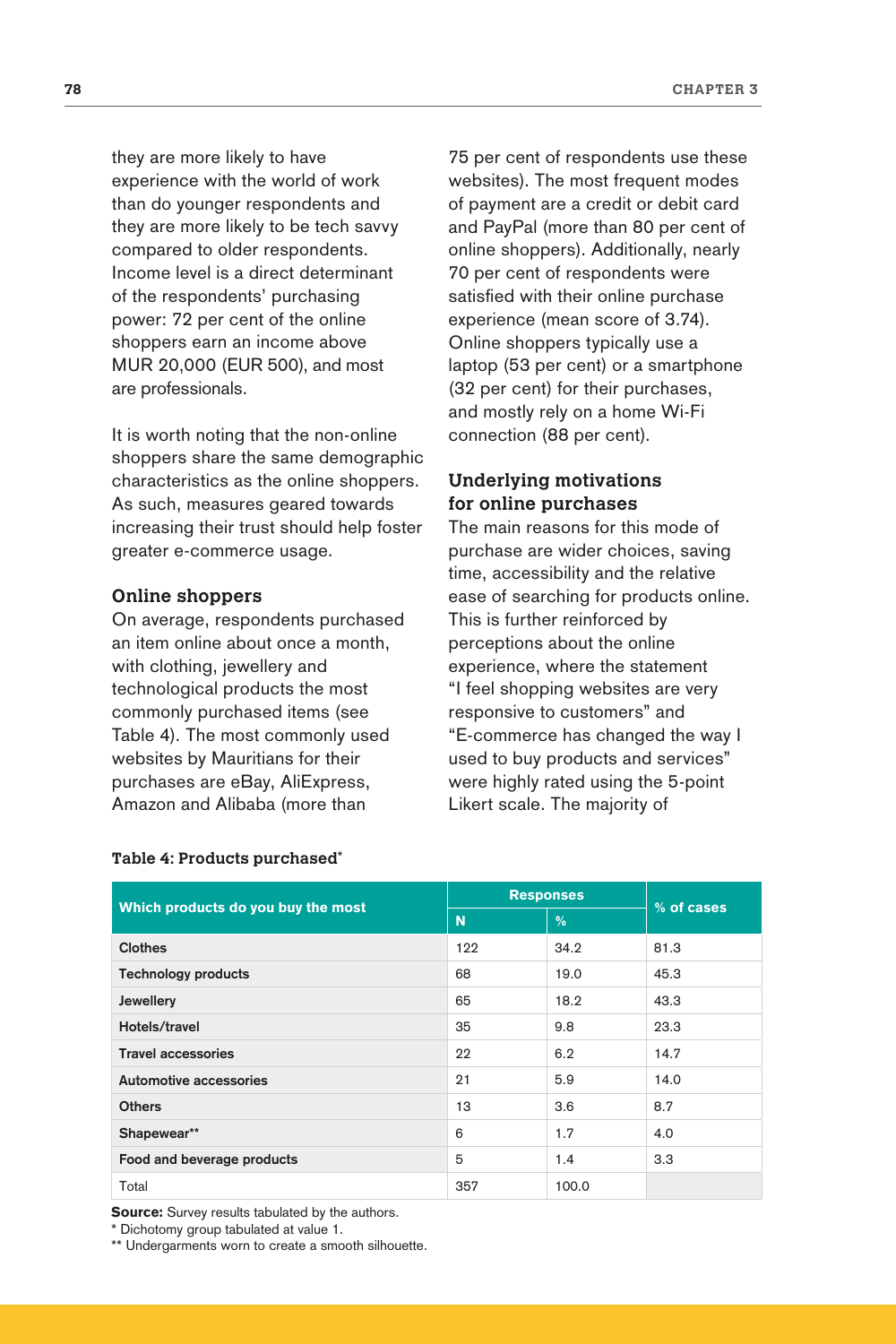they are more likely to have experience with the world of work than do younger respondents and they are more likely to be tech savvy compared to older respondents. Income level is a direct determinant of the respondents' purchasing power: 72 per cent of the online shoppers earn an income above MUR 20,000 (EUR 500), and most are professionals.

It is worth noting that the non-online shoppers share the same demographic characteristics as the online shoppers. As such, measures geared towards increasing their trust should help foster greater e-commerce usage.

#### **Online shoppers**

On average, respondents purchased an item online about once a month, with clothing, jewellery and technological products the most commonly purchased items (see Table 4). The most commonly used websites by Mauritians for their purchases are eBay, AliExpress, Amazon and Alibaba (more than

75 per cent of respondents use these websites). The most frequent modes of payment are a credit or debit card and PayPal (more than 80 per cent of online shoppers). Additionally, nearly 70 per cent of respondents were satisfied with their online purchase experience (mean score of 3.74). Online shoppers typically use a laptop (53 per cent) or a smartphone (32 per cent) for their purchases, and mostly rely on a home Wi-Fi connection (88 per cent).

## **Underlying motivations for online purchases**

The main reasons for this mode of purchase are wider choices, saving time, accessibility and the relative ease of searching for products online. This is further reinforced by perceptions about the online experience, where the statement "I feel shopping websites are very responsive to customers" and "E-commerce has changed the way I used to buy products and services" were highly rated using the 5-point Likert scale. The majority of

| Which products do you buy the most | <b>Responses</b> | % of cases |      |
|------------------------------------|------------------|------------|------|
|                                    | N                | %          |      |
| <b>Clothes</b>                     | 122              | 34.2       | 81.3 |
| <b>Technology products</b>         | 68               | 19.0       | 45.3 |
| Jewellery                          | 65               | 18.2       | 43.3 |
| Hotels/travel                      | 35               | 9.8        | 23.3 |
| <b>Travel accessories</b>          | 22               | 6.2        | 14.7 |
| Automotive accessories             | 21               | 5.9        | 14.0 |
| <b>Others</b>                      | 13               | 3.6        | 8.7  |
| Shapewear**                        | 6                | 1.7        | 4.0  |
| Food and beverage products         | 5                | 1.4        | 3.3  |
| Total                              | 357              | 100.0      |      |

#### **Table 4: Products purchased\***

**Source:** Survey results tabulated by the authors.

\* Dichotomy group tabulated at value 1.

\*\* Undergarments worn to create a smooth silhouette.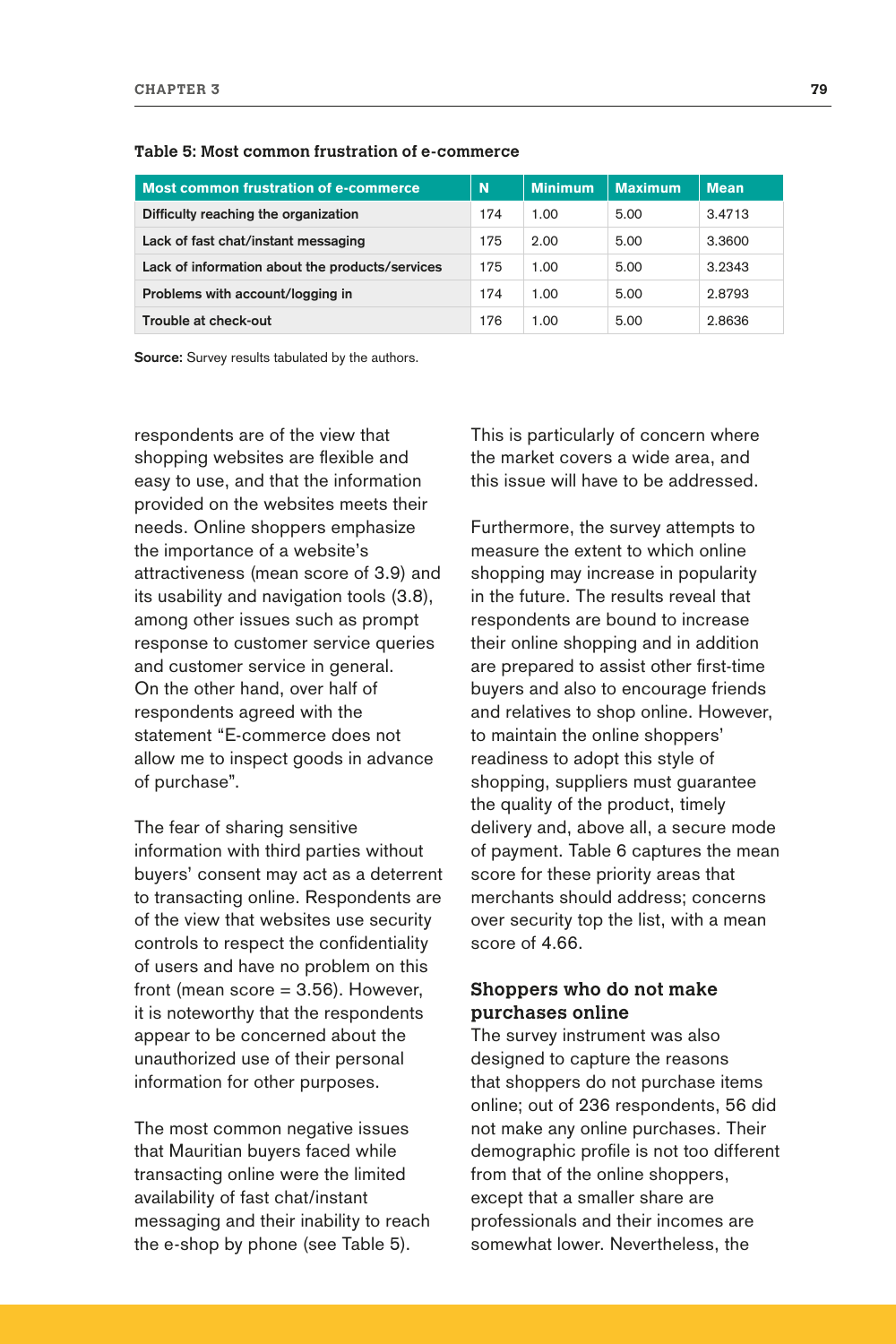| Most common frustration of e-commerce           | N   | <b>Minimum</b> | <b>Maximum</b> | <b>Mean</b> |
|-------------------------------------------------|-----|----------------|----------------|-------------|
| Difficulty reaching the organization            | 174 | 1.00           | 5.00           | 3.4713      |
| Lack of fast chat/instant messaging             | 175 | 2.00           | 5.00           | 3.3600      |
| Lack of information about the products/services | 175 | 1.00           | 5.00           | 3.2343      |
| Problems with account/logging in                | 174 | 1.00           | 5.00           | 2.8793      |
| Trouble at check-out                            | 176 | 1.00           | 5.00           | 2.8636      |

**Table 5: Most common frustration of e-commerce**

**Source:** Survey results tabulated by the authors.

respondents are of the view that shopping websites are flexible and easy to use, and that the information provided on the websites meets their needs. Online shoppers emphasize the importance of a website's attractiveness (mean score of 3.9) and its usability and navigation tools (3.8), among other issues such as prompt response to customer service queries and customer service in general. On the other hand, over half of respondents agreed with the statement "E-commerce does not allow me to inspect goods in advance of purchase".

The fear of sharing sensitive information with third parties without buyers' consent may act as a deterrent to transacting online. Respondents are of the view that websites use security controls to respect the confidentiality of users and have no problem on this front (mean  $score = 3.56$ ). However, it is noteworthy that the respondents appear to be concerned about the unauthorized use of their personal information for other purposes.

The most common negative issues that Mauritian buyers faced while transacting online were the limited availability of fast chat/instant messaging and their inability to reach the e-shop by phone (see Table 5).

This is particularly of concern where the market covers a wide area, and this issue will have to be addressed.

Furthermore, the survey attempts to measure the extent to which online shopping may increase in popularity in the future. The results reveal that respondents are bound to increase their online shopping and in addition are prepared to assist other first-time buyers and also to encourage friends and relatives to shop online. However, to maintain the online shoppers' readiness to adopt this style of shopping, suppliers must guarantee the quality of the product, timely delivery and, above all, a secure mode of payment. Table 6 captures the mean score for these priority areas that merchants should address; concerns over security top the list, with a mean score of 4.66.

## **Shoppers who do not make purchases online**

The survey instrument was also designed to capture the reasons that shoppers do not purchase items online; out of 236 respondents, 56 did not make any online purchases. Their demographic profile is not too different from that of the online shoppers, except that a smaller share are professionals and their incomes are somewhat lower. Nevertheless, the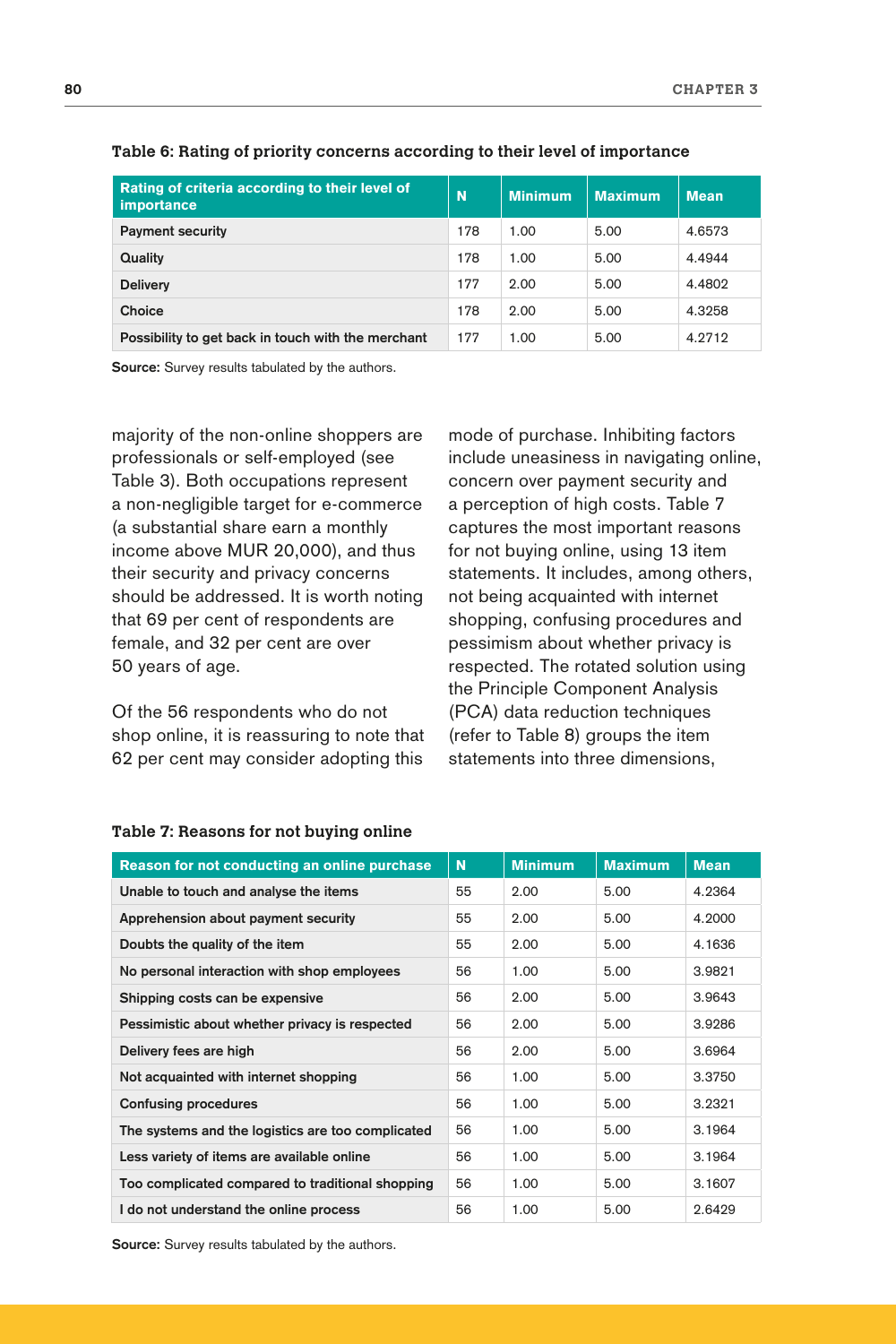| Rating of criteria according to their level of<br><i>importance</i> | N   | <b>Minimum</b> | <b>Maximum</b> | <b>Mean</b> |
|---------------------------------------------------------------------|-----|----------------|----------------|-------------|
| <b>Payment security</b>                                             | 178 | 1.00           | 5.00           | 4.6573      |
| Quality                                                             | 178 | 1.00           | 5.00           | 4.4944      |
| <b>Delivery</b>                                                     | 177 | 2.00           | 5.00           | 4.4802      |
| Choice                                                              | 178 | 2.00           | 5.00           | 4.3258      |
| Possibility to get back in touch with the merchant                  | 177 | 1.00           | 5.00           | 4.2712      |

#### **Table 6: Rating of priority concerns according to their level of importance**

**Source:** Survey results tabulated by the authors.

majority of the non-online shoppers are professionals or self-employed (see Table 3). Both occupations represent a non-negligible target for e-commerce (a substantial share earn a monthly income above MUR 20,000), and thus their security and privacy concerns should be addressed. It is worth noting that 69 per cent of respondents are female, and 32 per cent are over 50 years of age.

Of the 56 respondents who do not shop online, it is reassuring to note that 62 per cent may consider adopting this

mode of purchase. Inhibiting factors include uneasiness in navigating online, concern over payment security and a perception of high costs. Table 7 captures the most important reasons for not buying online, using 13 item statements. It includes, among others, not being acquainted with internet shopping, confusing procedures and pessimism about whether privacy is respected. The rotated solution using the Principle Component Analysis (PCA) data reduction techniques (refer to Table 8) groups the item statements into three dimensions,

| Reason for not conducting an online purchase      | N  | <b>Minimum</b> | <b>Maximum</b> | <b>Mean</b> |
|---------------------------------------------------|----|----------------|----------------|-------------|
| Unable to touch and analyse the items             | 55 | 2.00           | 5.00           | 4.2364      |
| Apprehension about payment security               | 55 | 2.00           | 5.00           | 4.2000      |
| Doubts the quality of the item                    | 55 | 2.00           | 5.00           | 4.1636      |
| No personal interaction with shop employees       | 56 | 1.00           | 5.00           | 3.9821      |
| Shipping costs can be expensive                   | 56 | 2.00           | 5.00           | 3.9643      |
| Pessimistic about whether privacy is respected    | 56 | 2.00           | 5.00           | 3.9286      |
| Delivery fees are high                            | 56 | 2.00           | 5.00           | 3.6964      |
| Not acquainted with internet shopping             | 56 | 1.00           | 5.00           | 3.3750      |
| <b>Confusing procedures</b>                       | 56 | 1.00           | 5.00           | 3.2321      |
| The systems and the logistics are too complicated | 56 | 1.00           | 5.00           | 3.1964      |
| Less variety of items are available online        | 56 | 1.00           | 5.00           | 3.1964      |
| Too complicated compared to traditional shopping  | 56 | 1.00           | 5.00           | 3.1607      |
| I do not understand the online process            | 56 | 1.00           | 5.00           | 2.6429      |

#### **Table 7: Reasons for not buying online**

**Source:** Survey results tabulated by the authors.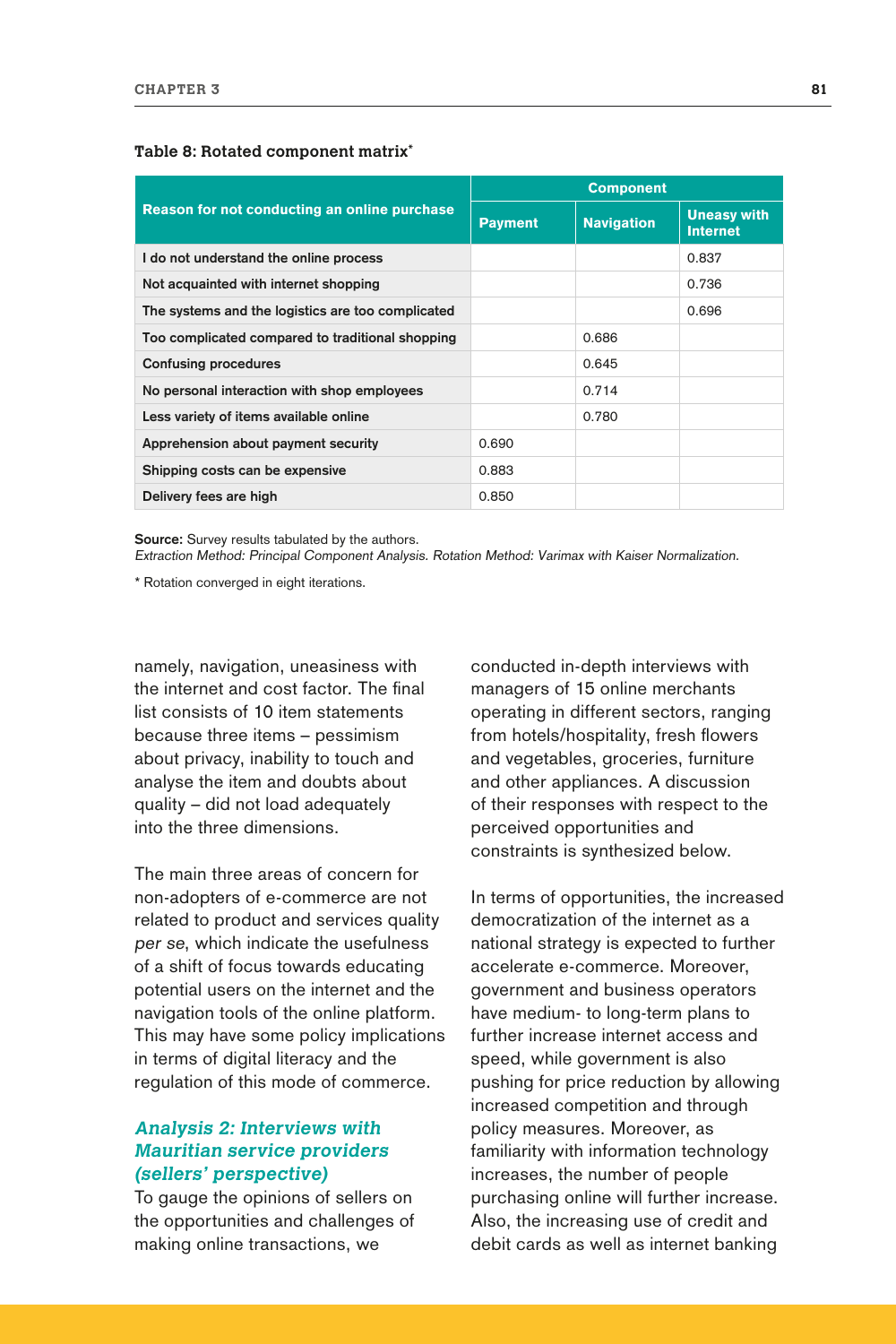|                                                   | <b>Component</b> |                   |                                       |  |  |
|---------------------------------------------------|------------------|-------------------|---------------------------------------|--|--|
| Reason for not conducting an online purchase      | <b>Payment</b>   | <b>Navigation</b> | <b>Uneasy with</b><br><b>Internet</b> |  |  |
| I do not understand the online process            |                  |                   | 0.837                                 |  |  |
| Not acquainted with internet shopping             |                  |                   | 0.736                                 |  |  |
| The systems and the logistics are too complicated |                  |                   | 0.696                                 |  |  |
| Too complicated compared to traditional shopping  |                  | 0.686             |                                       |  |  |
| <b>Confusing procedures</b>                       |                  | 0.645             |                                       |  |  |
| No personal interaction with shop employees       |                  | 0.714             |                                       |  |  |
| Less variety of items available online            |                  | 0.780             |                                       |  |  |
| Apprehension about payment security               | 0.690            |                   |                                       |  |  |
| Shipping costs can be expensive                   | 0.883            |                   |                                       |  |  |
| Delivery fees are high                            | 0.850            |                   |                                       |  |  |

#### **Table 8: Rotated component matrix\***

**Source:** Survey results tabulated by the authors.

Extraction Method: Principal Component Analysis. Rotation Method: Varimax with Kaiser Normalization.

\* Rotation converged in eight iterations.

namely, navigation, uneasiness with the internet and cost factor. The final list consists of 10 item statements because three items – pessimism about privacy, inability to touch and analyse the item and doubts about quality – did not load adequately into the three dimensions.

The main three areas of concern for non-adopters of e-commerce are not related to product and services quality per se, which indicate the usefulness of a shift of focus towards educating potential users on the internet and the navigation tools of the online platform. This may have some policy implications in terms of digital literacy and the regulation of this mode of commerce.

## **Analysis 2: Interviews with Mauritian service providers (sellers' perspective)**

To gauge the opinions of sellers on the opportunities and challenges of making online transactions, we

conducted in-depth interviews with managers of 15 online merchants operating in different sectors, ranging from hotels/hospitality, fresh flowers and vegetables, groceries, furniture and other appliances. A discussion of their responses with respect to the perceived opportunities and constraints is synthesized below.

In terms of opportunities, the increased democratization of the internet as a national strategy is expected to further accelerate e-commerce. Moreover, government and business operators have medium- to long-term plans to further increase internet access and speed, while government is also pushing for price reduction by allowing increased competition and through policy measures. Moreover, as familiarity with information technology increases, the number of people purchasing online will further increase. Also, the increasing use of credit and debit cards as well as internet banking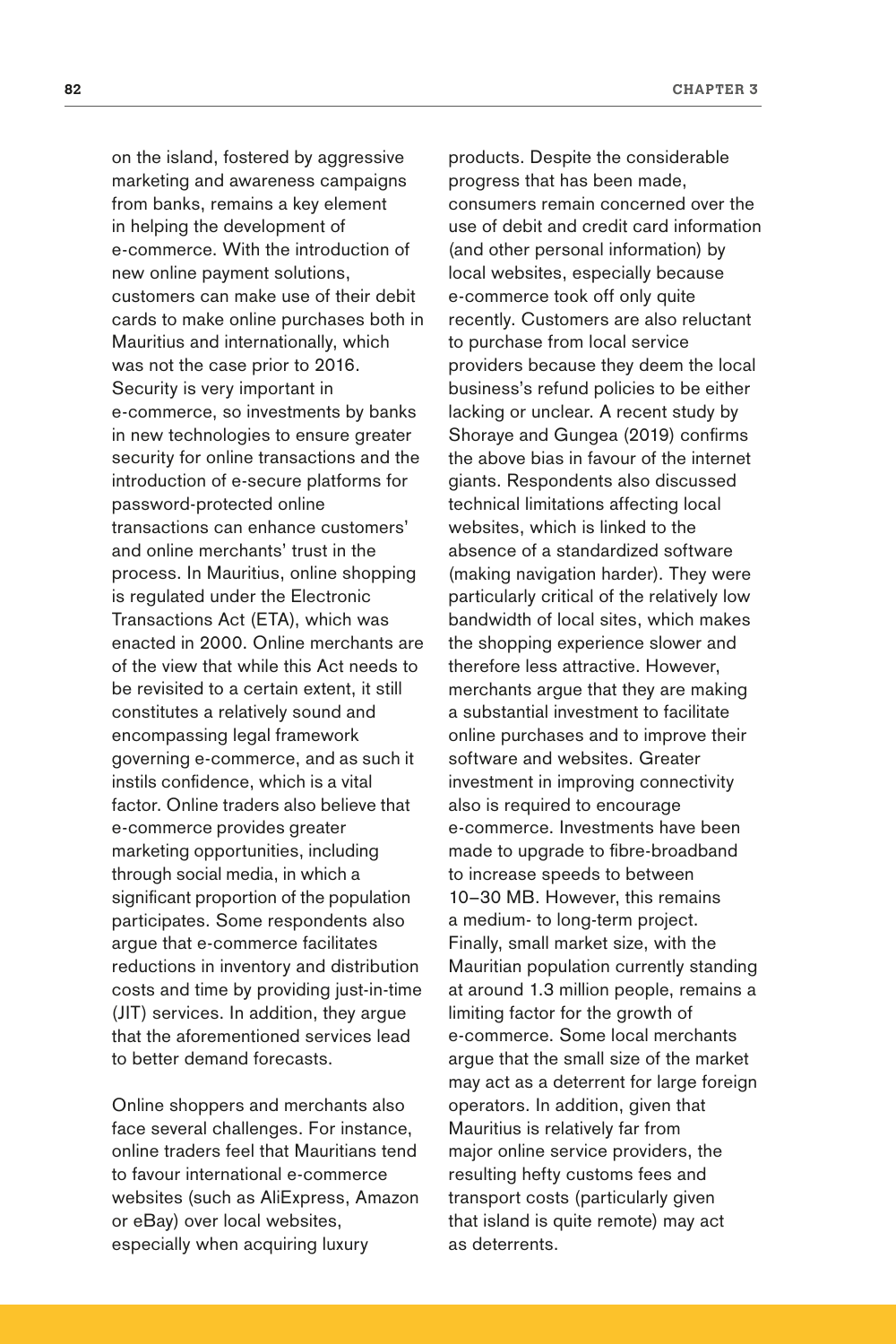on the island, fostered by aggressive marketing and awareness campaigns from banks, remains a key element in helping the development of e-commerce. With the introduction of new [online payment solutions,](http://www.directpay.online/)  [customers can make use of their](http://www.directpay.online/) debit cards to make online purchases both in Mauritius and internationally, which was not the case prior to 2016. Security is very important in e-commerce, so investments by banks in new technologies to ensure greater security for online transactions and the introduction of e-secure platforms for password-protected online transactions can enhance customers' and online merchants' trust in the process. In Mauritius, online shopping is regulated under the Electronic Transactions Act (ETA), which was enacted in 2000. Online merchants are of the view that while this Act needs to be revisited to a certain extent, it still constitutes a relatively sound and encompassing legal framework governing e-commerce, and as such it instils confidence, which is a vital factor. Online traders also believe that e-commerce provides greater marketing opportunities, including through social media, in which a significant proportion of the population participates. Some respondents also argue that e-commerce facilitates reductions in inventory and distribution costs and time by providing just-in-time (JIT) services. In addition, they argue that the aforementioned services lead to better demand forecasts.

Online shoppers and merchants also face several challenges. For instance, online traders feel that Mauritians tend to favour international e-commerce websites (such as AliExpress, Amazon or eBay) over local websites, especially when acquiring luxury

products. Despite the considerable progress that has been made, consumers remain concerned over the use of debit and credit card information (and other personal information) by local websites, especially because e-commerce took off only quite recently. Customers are also reluctant to purchase from local service providers because they deem the local business's refund policies to be either lacking or unclear. A recent study by Shoraye and Gungea (2019) confirms the above bias in favour of the internet giants. Respondents also discussed technical limitations affecting local websites, which is linked to the absence of a standardized software (making navigation harder). They were particularly critical of the relatively low bandwidth of local sites, which makes the shopping experience slower and therefore less attractive. However, merchants argue that they are making a substantial investment to facilitate online purchases and to improve their software and websites. Greater investment in improving connectivity also is required to encourage e-commerce. Investments have been made to upgrade to fibre-broadband to increase speeds to between 10–30 MB. However, this remains a medium- to long-term project. Finally, small market size, with the Mauritian population currently standing at around 1.3 million people, remains a limiting factor for the growth of e-commerce. Some local merchants argue that the small size of the market may act as a deterrent for large foreign operators. In addition, given that Mauritius is relatively far from major online service providers, the resulting hefty customs fees and transport costs (particularly given that island is quite remote) may act as deterrents.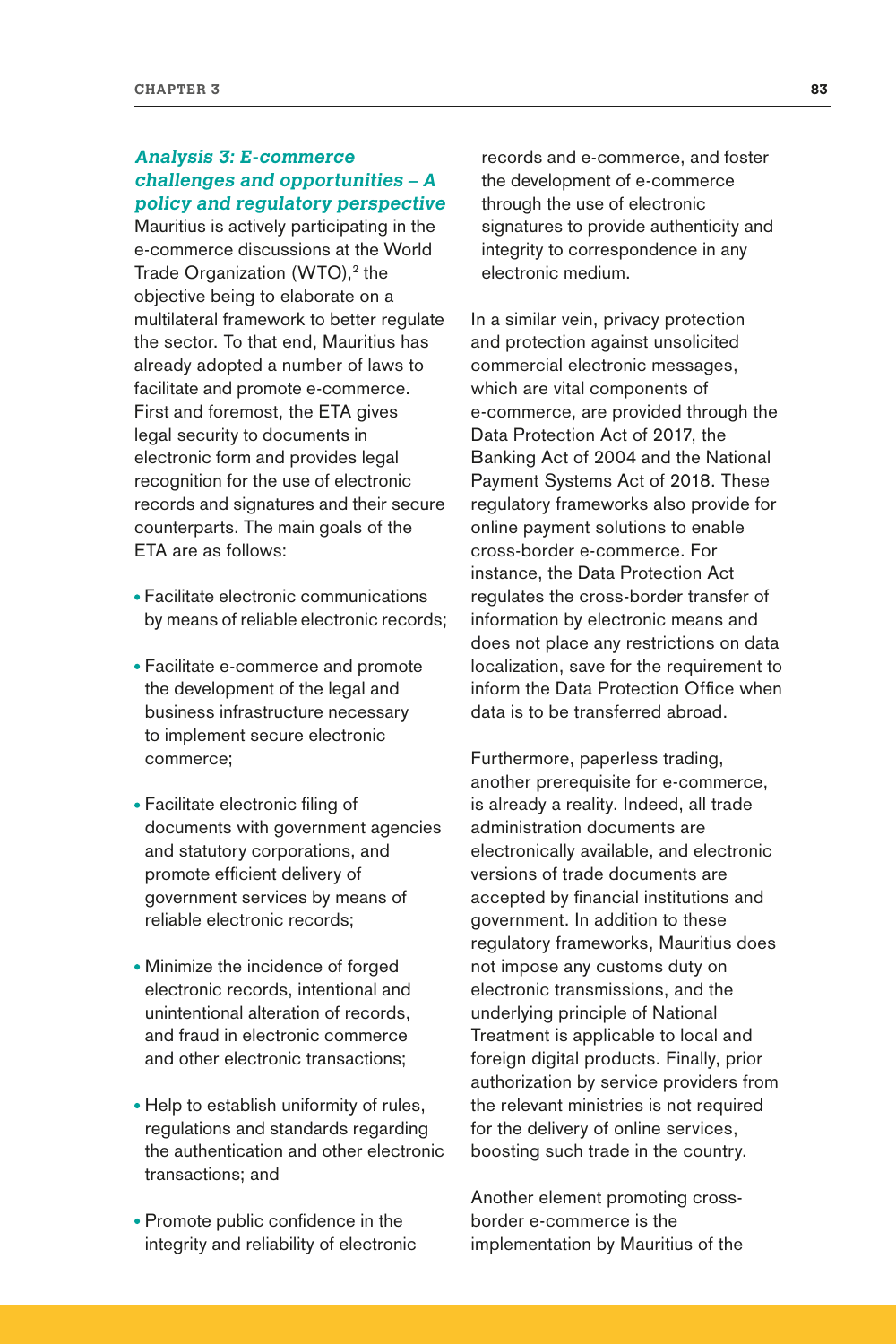## **Analysis 3: E-commerce challenges and opportunities – A policy and regulatory perspective**

Mauritius is actively participating in the e-commerce discussions at the World Trade Organization (WTO),<sup>2</sup> the objective being to elaborate on a multilateral framework to better regulate the sector. To that end, Mauritius has already adopted a number of laws to facilitate and promote e-commerce. First and foremost, the ETA gives legal security to documents in electronic form and provides legal recognition for the use of electronic records and signatures and their secure counterparts. The main goals of the ETA are as follows:

- Facilitate electronic communications by means of reliable electronic records;
- Facilitate e-commerce and promote the development of the legal and business infrastructure necessary to implement secure electronic commerce;
- Facilitate electronic filing of documents with government agencies and statutory corporations, and promote efficient delivery of government services by means of reliable electronic records;
- Minimize the incidence of forged electronic records, intentional and unintentional alteration of records, and fraud in electronic commerce and other electronic transactions;
- Help to establish uniformity of rules, regulations and standards regarding the authentication and other electronic transactions; and
- Promote public confidence in the integrity and reliability of electronic

records and e-commerce, and foster the development of e-commerce through the use of electronic signatures to provide authenticity and integrity to correspondence in any electronic medium.

In a similar vein, privacy protection and protection against unsolicited commercial electronic messages, which are vital components of e-commerce, are provided through the Data Protection Act of 2017, the Banking Act of 2004 and the National Payment Systems Act of 2018. These regulatory frameworks also provide for online payment solutions to enable cross-border e-commerce. For instance, the Data Protection Act regulates the cross-border transfer of information by electronic means and does not place any restrictions on data localization, save for the requirement to inform the Data Protection Office when data is to be transferred abroad.

Furthermore, paperless trading, another prerequisite for e-commerce, is already a reality. Indeed, all trade administration documents are electronically available, and electronic versions of trade documents are accepted by financial institutions and government. In addition to these regulatory frameworks, Mauritius does not impose any customs duty on electronic transmissions, and the underlying principle of National Treatment is applicable to local and foreign digital products. Finally, prior authorization by service providers from the relevant ministries is not required for the delivery of online services, boosting such trade in the country.

Another element promoting crossborder e-commerce is the implementation by Mauritius of the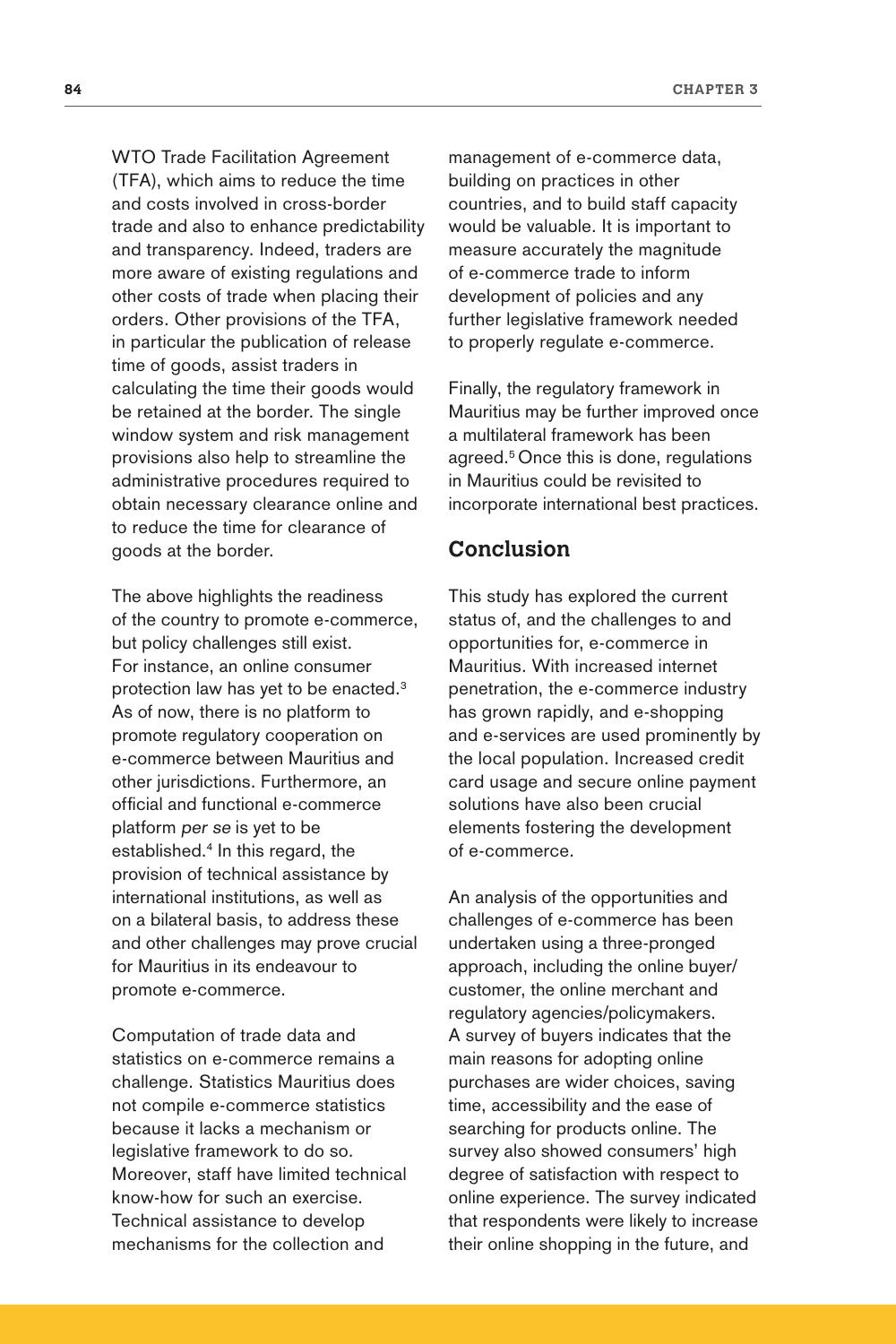WTO Trade Facilitation Agreement (TFA), which aims to reduce the time and costs involved in cross-border trade and also to enhance predictability and transparency. Indeed, traders are more aware of existing regulations and other costs of trade when placing their orders. Other provisions of the TFA, in particular the publication of release time of goods, assist traders in calculating the time their goods would be retained at the border. The single window system and risk management provisions also help to streamline the administrative procedures required to obtain necessary clearance online and to reduce the time for clearance of goods at the border.

The above highlights the readiness of the country to promote e-commerce, but policy challenges still exist. For instance, an online consumer protection law has yet to be enacted.3 As of now, there is no platform to promote regulatory cooperation on e-commerce between Mauritius and other jurisdictions. Furthermore, an official and functional e-commerce platform per se is yet to be established.4 In this regard, the provision of technical assistance by international institutions, as well as on a bilateral basis, to address these and other challenges may prove crucial for Mauritius in its endeavour to promote e-commerce.

Computation of trade data and statistics on e-commerce remains a challenge. Statistics Mauritius does not compile e-commerce statistics because it lacks a mechanism or legislative framework to do so. Moreover, staff have limited technical know-how for such an exercise. Technical assistance to develop mechanisms for the collection and

management of e-commerce data, building on practices in other countries, and to build staff capacity would be valuable. It is important to measure accurately the magnitude of e-commerce trade to inform development of policies and any further legislative framework needed to properly regulate e-commerce.

Finally, the regulatory framework in Mauritius may be further improved once a multilateral framework has been agreed.<sup>5</sup> Once this is done, regulations in Mauritius could be revisited to incorporate international best practices.

## **Conclusion**

This study has explored the current status of, and the challenges to and opportunities for, e-commerce in Mauritius. With increased internet penetration, the e-commerce industry has grown rapidly, and e-shopping and e-services are used prominently by the local population. Increased credit card usage and secure online payment solutions have also been crucial elements fostering the development of e-commerce.

An analysis of the opportunities and challenges of e-commerce has been undertaken using a three-pronged approach, including the online buyer/ customer, the online merchant and regulatory agencies/policymakers. A survey of buyers indicates that the main reasons for adopting online purchases are wider choices, saving time, accessibility and the ease of searching for products online. The survey also showed consumers' high degree of satisfaction with respect to online experience. The survey indicated that respondents were likely to increase their online shopping in the future, and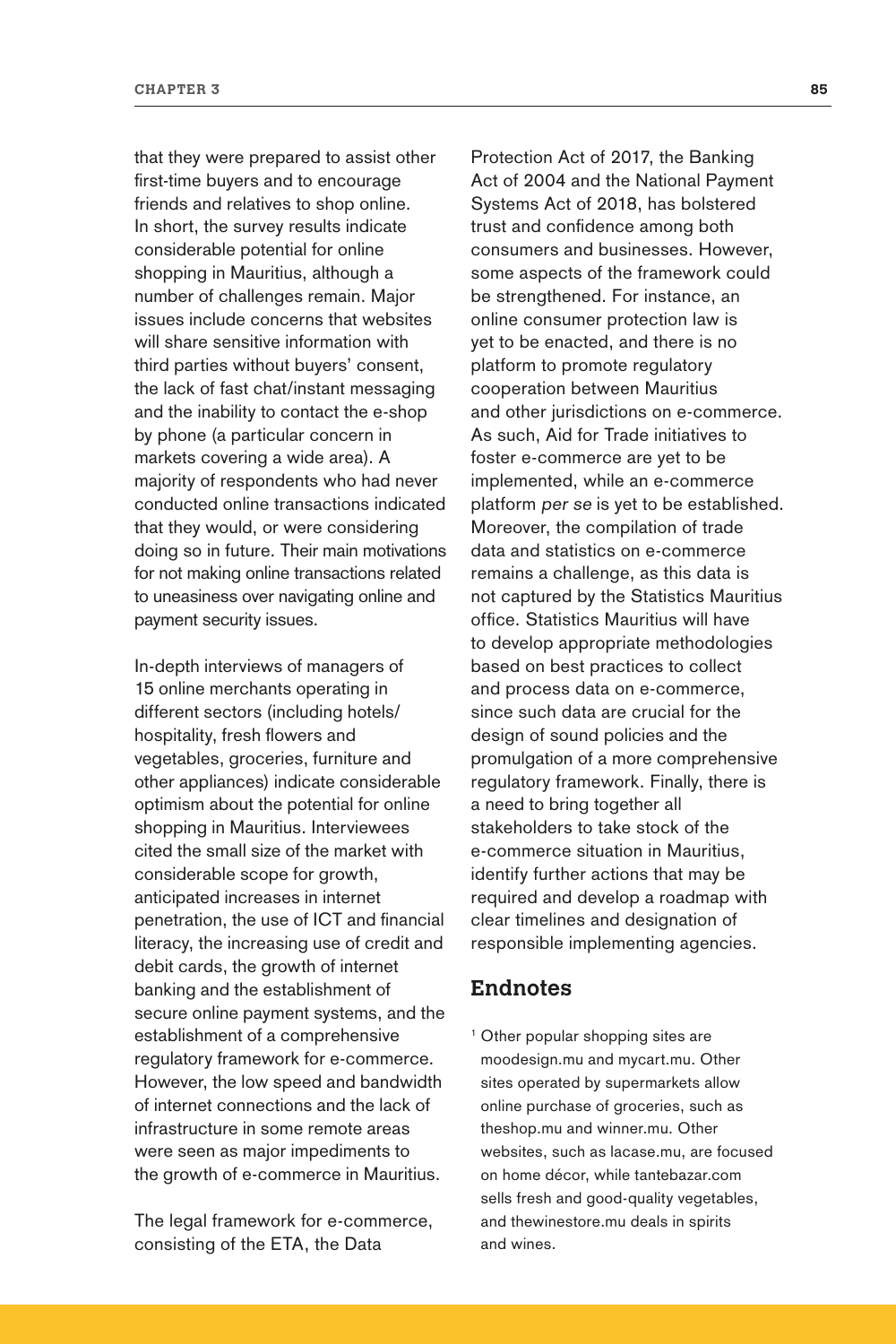that they were prepared to assist other first-time buyers and to encourage friends and relatives to shop online. In short, the survey results indicate considerable potential for online shopping in Mauritius, although a number of challenges remain. Major issues include concerns that websites will share sensitive information with third parties without buyers' consent, the lack of fast chat/instant messaging and the inability to contact the e-shop by phone (a particular concern in markets covering a wide area). A majority of respondents who had never conducted online transactions indicated that they would, or were considering doing so in future. Their main motivations for not making online transactions related to uneasiness over navigating online and payment security issues.

In-depth interviews of managers of 15 online merchants operating in different sectors (including hotels/ hospitality, fresh flowers and vegetables, groceries, furniture and other appliances) indicate considerable optimism about the potential for online shopping in Mauritius. Interviewees cited the small size of the market with considerable scope for growth, anticipated increases in internet penetration, the use of ICT and financial literacy, the increasing use of credit and debit cards, the growth of internet banking and the establishment of secure online payment systems, and the establishment of a comprehensive regulatory framework for e-commerce. However, the low speed and bandwidth of internet connections and the lack of infrastructure in some remote areas were seen as major impediments to the growth of e-commerce in Mauritius.

The legal framework for e-commerce, consisting of the ETA, the Data

Protection Act of 2017, the Banking Act of 2004 and the National Payment Systems Act of 2018, has bolstered trust and confidence among both consumers and businesses. However, some aspects of the framework could be strengthened. For instance, an online consumer protection law is yet to be enacted, and there is no platform to promote regulatory cooperation between Mauritius and other jurisdictions on e-commerce. As such, Aid for Trade initiatives to foster e-commerce are yet to be implemented, while an e-commerce platform per se is yet to be established. Moreover, the compilation of trade data and statistics on e-commerce remains a challenge, as this data is not captured by the Statistics Mauritius office. Statistics Mauritius will have to develop appropriate methodologies based on best practices to collect and process data on e-commerce, since such data are crucial for the design of sound policies and the promulgation of a more comprehensive regulatory framework. Finally, there is a need to bring together all stakeholders to take stock of the e-commerce situation in Mauritius, identify further actions that may be required and develop a roadmap with clear timelines and designation of responsible implementing agencies.

## **Endnotes**

<sup>1</sup> Other popular shopping sites are moodesign.mu and mycart.mu. Other sites operated by supermarkets allow online purchase of groceries, such as theshop.mu and winner.mu. Other websites, such as lacase.mu, are focused on home décor, while tantebazar.com sells fresh and good-quality vegetables, and thewinestore.mu deals in spirits and wines.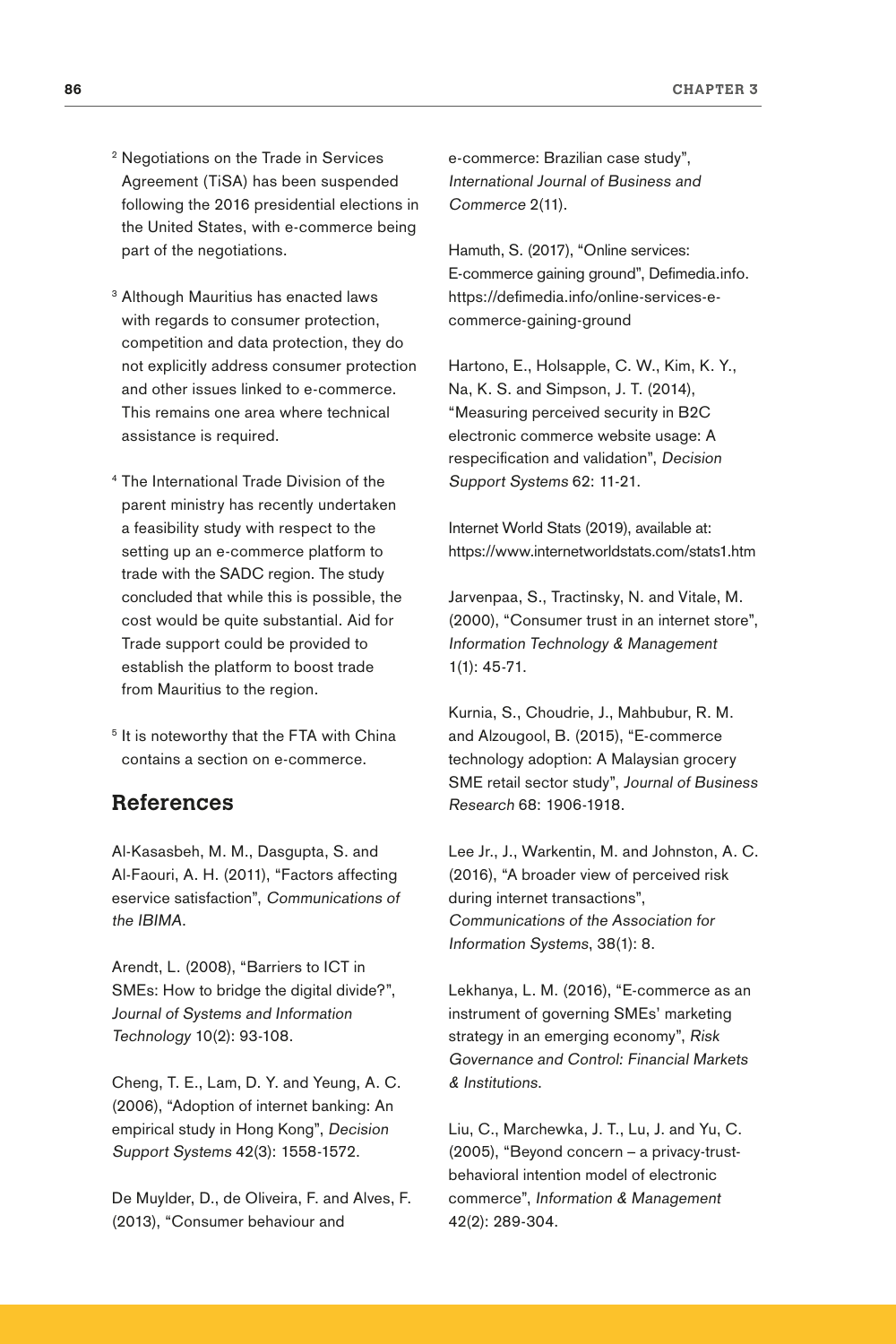- <sup>2</sup> Negotiations on the Trade in Services Agreement (TiSA) has been suspended following the 2016 presidential elections in the United States, with e-commerce being part of the negotiations.
- <sup>3</sup> Although Mauritius has enacted laws with regards to consumer protection, competition and data protection, they do not explicitly address consumer protection and other issues linked to e-commerce. This remains one area where technical assistance is required.
- <sup>4</sup> The International Trade Division of the parent ministry has recently undertaken a feasibility study with respect to the setting up an e-commerce platform to trade with the SADC region. The study concluded that while this is possible, the cost would be quite substantial. Aid for Trade support could be provided to establish the platform to boost trade from Mauritius to the region.
- <sup>5</sup> It is noteworthy that the FTA with China contains a section on e-commerce.

## **References**

Al-Kasasbeh, M. M., Dasgupta, S. and Al-Faouri, A. H. (2011), "Factors affecting eservice satisfaction", Communications of the IBIMA.

Arendt, L. (2008), "Barriers to ICT in SMEs: How to bridge the digital divide?", Journal of Systems and Information Technology 10(2): 93-108.

Cheng, T. E., Lam, D. Y. and Yeung, A. C. (2006), "Adoption of internet banking: An empirical study in Hong Kong", Decision Support Systems 42(3): 1558-1572.

De Muylder, D., de Oliveira, F. and Alves, F. (2013), "Consumer behaviour and

e-commerce: Brazilian case study", International Journal of Business and Commerce 2(11).

Hamuth, [S. \(2017\)](https://defimedia.info/authors/348/shaffick-hamuth), "Online services: E-commerce gaining ground", Defimedia.info. [https://defimedia.info/online-services-e](https://defimedia.info/online-services-e-commerce-gaining-ground)[commerce-gaining-ground](https://defimedia.info/online-services-e-commerce-gaining-ground)

Hartono, E., Holsapple, C. W., Kim, K. Y., Na, K. S. and Simpson, J. T. (2014), "Measuring perceived security in B2C electronic commerce website usage: A respecification and validation", Decision Support Systems 62: 11-21.

Internet World Stats (2019), available at: <https://www.internetworldstats.com/stats1.htm>

Jarvenpaa, S., Tractinsky, N. and Vitale, M. (2000), "Consumer trust in an internet store", Information Technology & Management 1(1): 45-71.

Kurnia, S., Choudrie, J., Mahbubur, R. M. and Alzougool, B. (2015), "E-commerce technology adoption: A Malaysian grocery SME retail sector study", Journal of Business Research 68: 1906-1918.

Lee Jr., J., Warkentin, M. and Johnston, A. C. (2016), "A broader view of perceived risk during internet transactions", Communications of the Association for Information Systems, 38(1): 8.

Lekhanya, L. M. (2016), "E-commerce as an instrument of governing SMEs' marketing strategy in an emerging economy", Risk Governance and Control: Financial Markets & Institutions.

Liu, C., Marchewka, J. T., Lu, J. and Yu, C. (2005), "Beyond concern – a privacy-trustbehavioral intention model of electronic commerce", Information & Management 42(2): 289-304.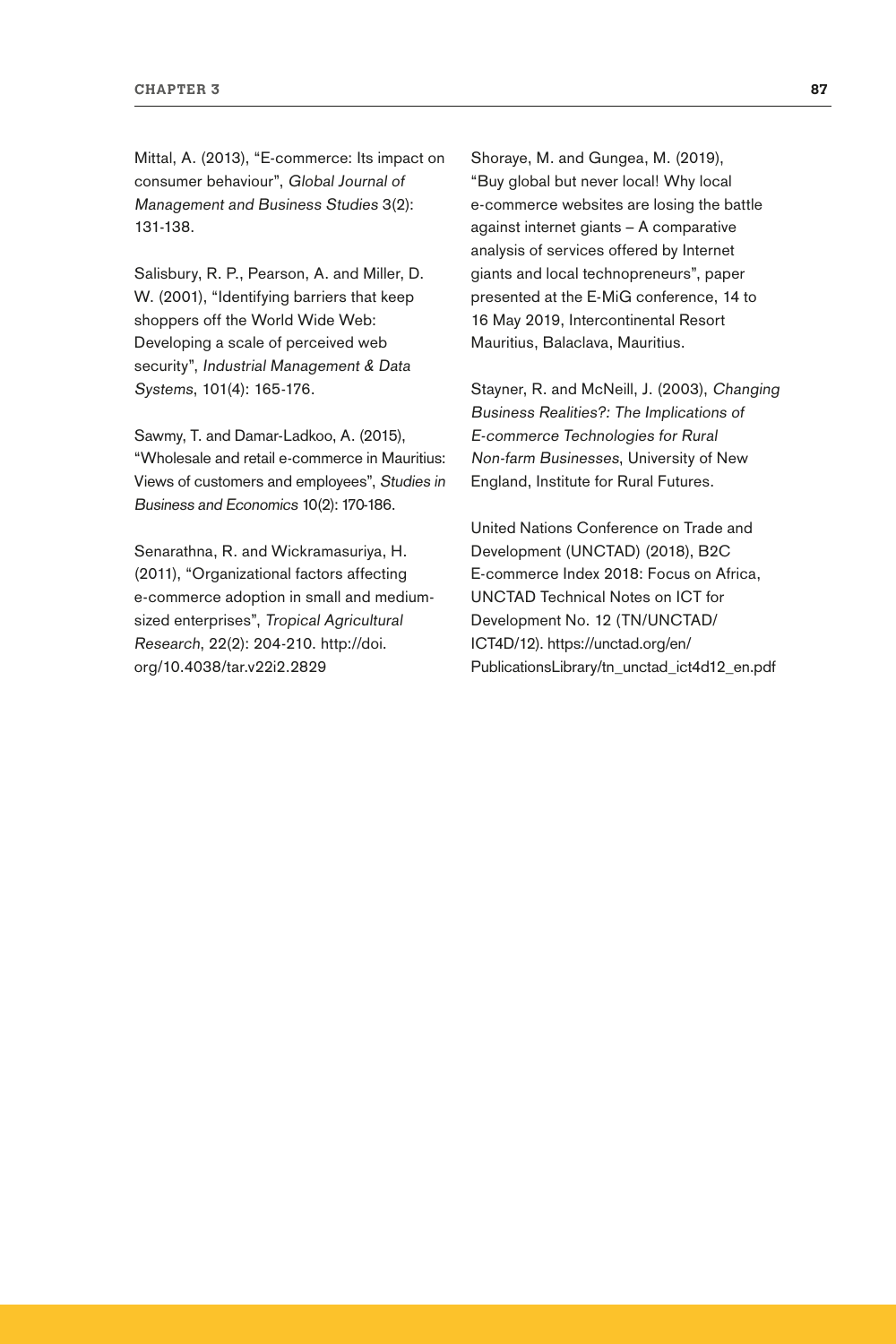Mittal, A. (2013), "E-commerce: Its impact on consumer behaviour", Global Journal of Management and Business Studies 3(2): 131-138.

Salisbury, R. P., Pearson, A. and Miller, D. W. (2001), "Identifying barriers that keep shoppers off the World Wide Web: Developing a scale of perceived web security", Industrial Management & Data Systems, 101(4): 165-176.

Sawmy, T. and Damar-Ladkoo, A. (2015), "Wholesale and retail e-commerce in Mauritius: Views of customers and employees", Studies in Business and Economics 10(2): 170-186.

Senarathna, R. and Wickramasuriya, H. (2011), "Organizational factors affecting e-commerce adoption in small and mediumsized enterprises", Tropical Agricultural Research, 22(2): 204-210. [http://doi.](http://doi.org/10.4038/tar.v22i2.2829) [org/10.4038/tar.v22i2.2829](http://doi.org/10.4038/tar.v22i2.2829)

Shoraye, M. and Gungea, M. (2019), "Buy global but never local! Why local e-commerce websites are losing the battle against internet giants – A comparative analysis of services offered by Internet giants and local technopreneurs", paper presented at the E-MiG conference, 14 to 16 May 2019, Intercontinental Resort Mauritius, Balaclava, Mauritius.

Stayner, R. and McNeill, J. (2003), Changing Business Realities?: The Implications of E-commerce Technologies for Rural Non-farm Businesses, University of New England, Institute for Rural Futures.

United Nations Conference on Trade and Development (UNCTAD) (2018), B2C E-commerce Index 2018: Focus on Africa, UNCTAD Technical Notes on ICT for Development No. 12 (TN/UNCTAD/ ICT4D/12). [https://unctad.org/en/](https://unctad.org/en/PublicationsLibrary/tn_unctad_ict4d12_en.pdf) [PublicationsLibrary/tn\\_unctad\\_ict4d12\\_en.pdf](https://unctad.org/en/PublicationsLibrary/tn_unctad_ict4d12_en.pdf)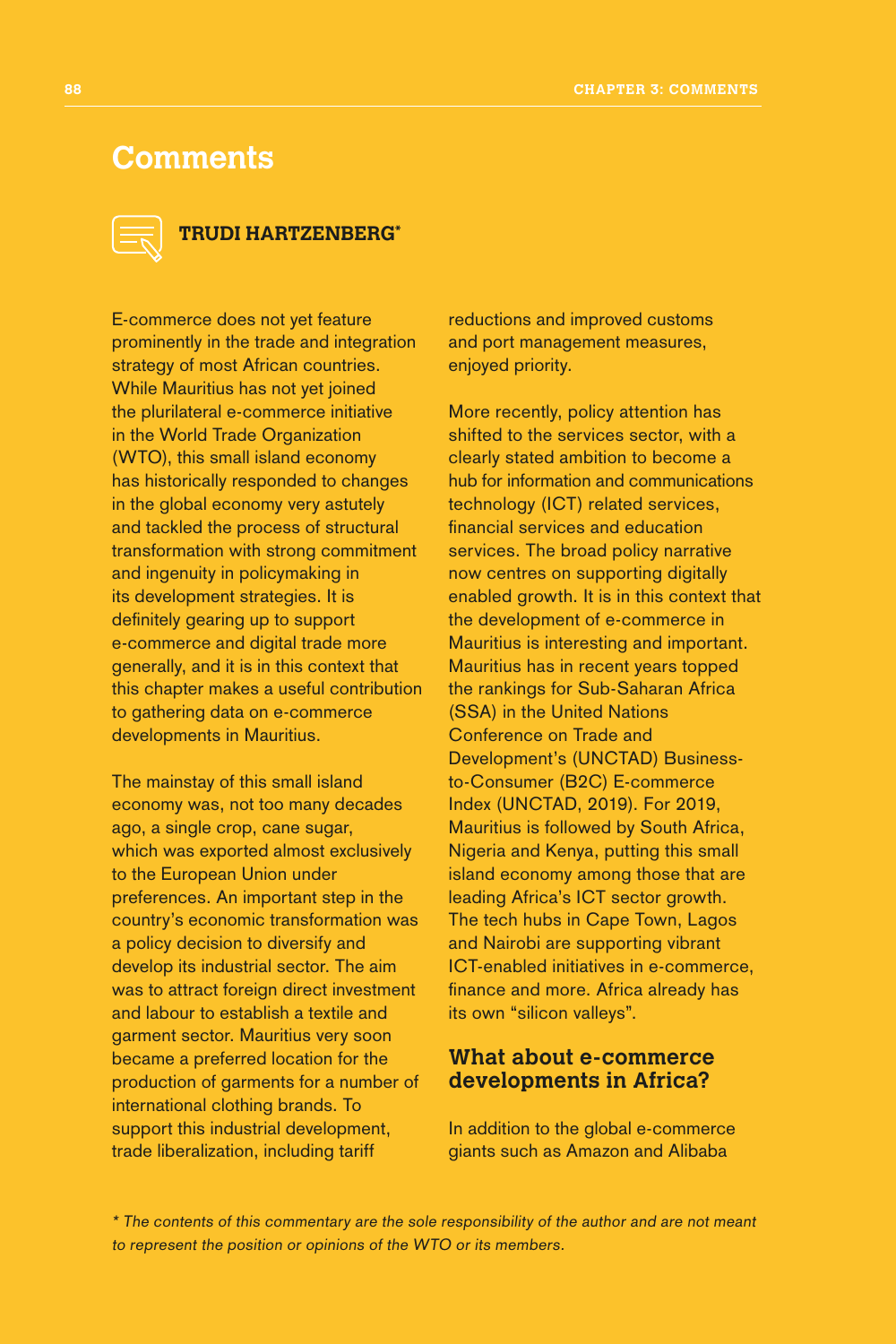## **Comments**



## **TRUDI HARTZENBERG\***

E-commerce does not yet feature prominently in the trade and integration strategy of most African countries. While Mauritius has not yet joined the plurilateral e-commerce initiative in the World Trade Organization (WTO), this small island economy has historically responded to changes in the global economy very astutely and tackled the process of structural transformation with strong commitment and ingenuity in policymaking in its development strategies. It is definitely gearing up to support e-commerce and digital trade more generally, and it is in this context that this chapter makes a useful contribution to gathering data on e-commerce developments in Mauritius.

The mainstay of this small island economy was, not too many decades ago, a single crop, cane sugar, which was exported almost exclusively to the European Union under preferences. An important step in the country's economic transformation was a policy decision to diversify and develop its industrial sector. The aim was to attract foreign direct investment and labour to establish a textile and garment sector. Mauritius very soon became a preferred location for the production of garments for a number of international clothing brands. To support this industrial development, trade liberalization, including tariff

reductions and improved customs and port management measures, enjoyed priority.

More recently, policy attention has shifted to the services sector, with a clearly stated ambition to become a hub for information and communications technology (ICT) related services, financial services and education services. The broad policy narrative now centres on supporting digitally enabled growth. It is in this context that the development of e-commerce in Mauritius is interesting and important. Mauritius has in recent years topped the rankings for Sub-Saharan Africa (SSA) in the United Nations Conference on Trade and Development's (UNCTAD) Businessto-Consumer (B2C) E-commerce Index (UNCTAD, 2019). For 2019, Mauritius is followed by South Africa, Nigeria and Kenya, putting this small island economy among those that are leading Africa's ICT sector growth. The tech hubs in Cape Town, Lagos and Nairobi are supporting vibrant ICT-enabled initiatives in e-commerce, finance and more. Africa already has its own "silicon valleys".

## **What about e-commerce developments in Africa?**

In addition to the global e-commerce giants such as Amazon and Alibaba

\* The contents of this commentary are the sole responsibility of the author and are not meant to represent the position or opinions of the WTO or its members.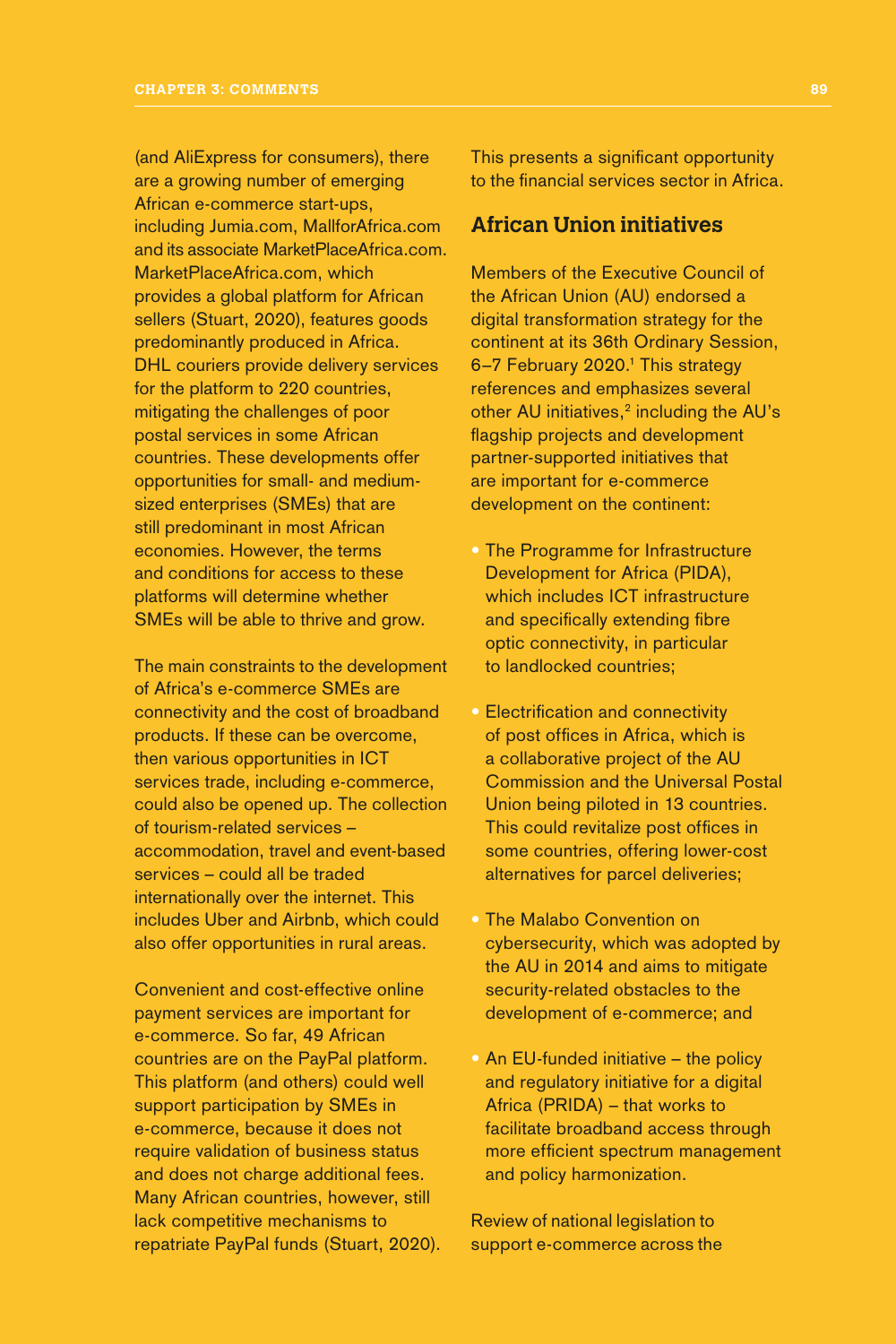(and AliExpress for consumers), there are a growing number of emerging African e-commerce start-ups, including Jumia.com, MallforAfrica.com and its associate MarketPlaceAfrica.com. MarketPlaceAfrica.com, which provides a global platform for African sellers (Stuart, 2020), features goods predominantly produced in Africa. DHL couriers provide delivery services for the platform to 220 countries, mitigating the challenges of poor postal services in some African countries. These developments offer opportunities for small- and mediumsized enterprises (SMEs) that are still predominant in most African economies. However, the terms and conditions for access to these platforms will determine whether SMEs will be able to thrive and grow.

The main constraints to the development of Africa's e-commerce SMEs are connectivity and the cost of broadband products. If these can be overcome, then various opportunities in ICT services trade, including e-commerce, could also be opened up. The collection of tourism-related services – accommodation, travel and event-based services – could all be traded internationally over the internet. This includes Uber and Airbnb, which could also offer opportunities in rural areas.

Convenient and cost-effective online payment services are important for e-commerce. So far, 49 African countries are on the PayPal platform. This platform (and others) could well support participation by SMEs in e-commerce, because it does not require validation of business status and does not charge additional fees. Many African countries, however, still lack competitive mechanisms to repatriate PayPal funds (Stuart, 2020). This presents a significant opportunity to the financial services sector in Africa.

## **African Union initiatives**

Members of the Executive Council of the African Union (AU) endorsed a digital transformation strategy for the continent at its 36th Ordinary Session, 6-7 February 2020.<sup>1</sup> This strategy references and emphasizes several other AU initiatives, $2$  including the AU's flagship projects and development partner-supported initiatives that are important for e-commerce development on the continent:

- The Programme for Infrastructure Development for Africa (PIDA), which includes ICT infrastructure and specifically extending fibre optic connectivity, in particular to landlocked countries;
- Electrification and connectivity of post offices in Africa, which is a collaborative project of the AU Commission and the Universal Postal Union being piloted in 13 countries. This could revitalize post offices in some countries, offering lower-cost alternatives for parcel deliveries;
- The Malabo Convention on cybersecurity, which was adopted by the AU in 2014 and aims to mitigate security-related obstacles to the development of e-commerce; and
- An EU-funded initiative the policy and regulatory initiative for a digital Africa (PRIDA) – that works to facilitate broadband access through more efficient spectrum management and policy harmonization.

Review of national legislation to support e-commerce across the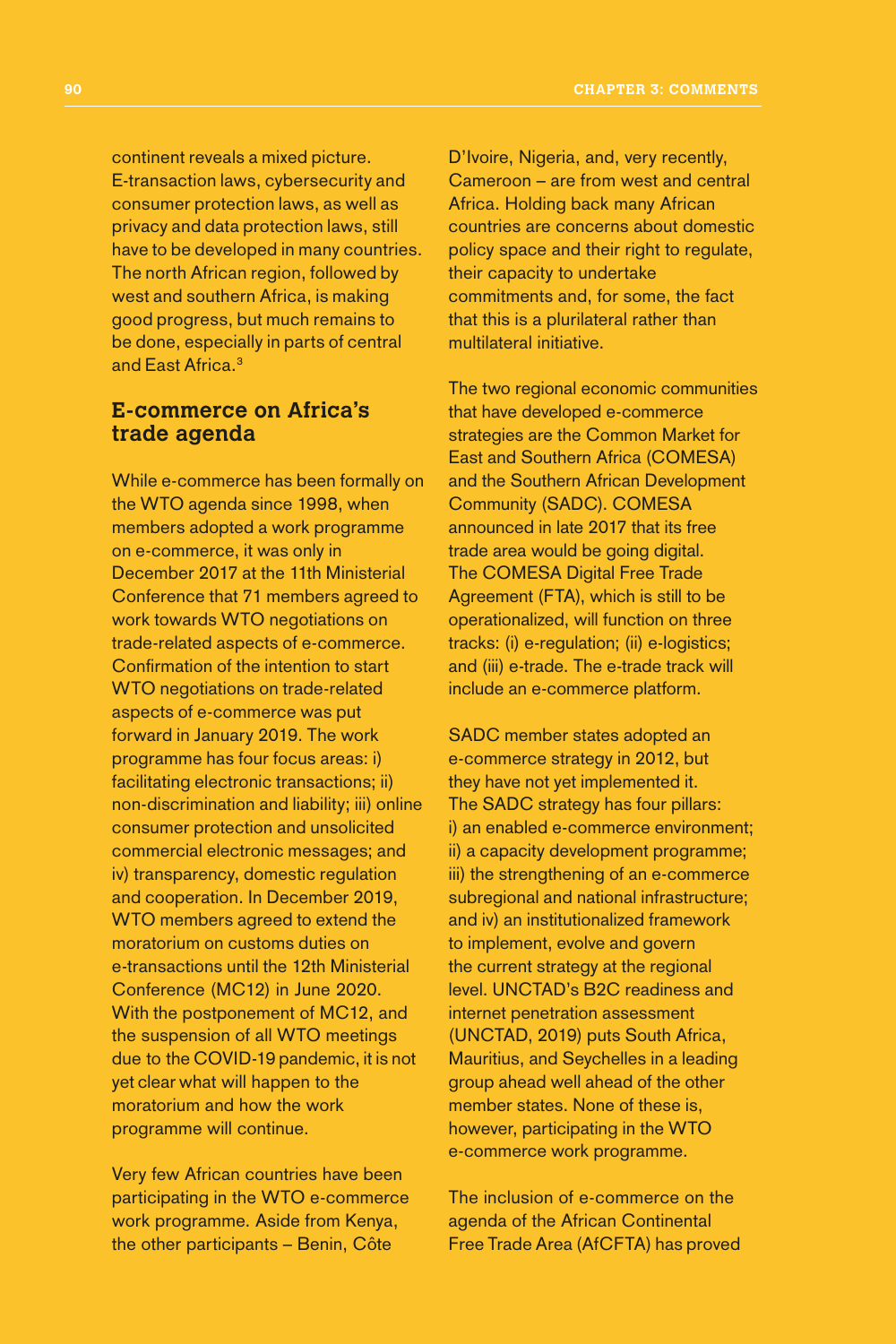continent reveals a mixed picture. E-transaction laws, cybersecurity and consumer protection laws, as well as privacy and data protection laws, still have to be developed in many countries. The north African region, followed by west and southern Africa, is making good progress, but much remains to be done, especially in parts of central and East Africa<sup>3</sup>

## **E-commerce on Africa's trade agenda**

While e-commerce has been formally on the WTO agenda since 1998, when members adopted a work programme on e-commerce, it was only in December 2017 at the 11th Ministerial Conference that 71 members agreed to work towards WTO negotiations on trade-related aspects of e-commerce. Confirmation of the intention to start WTO negotiations on trade-related aspects of e-commerce was put forward in January 2019. The work programme has four focus areas: i) facilitating electronic transactions; ii) non-discrimination and liability; iii) online consumer protection and unsolicited commercial electronic messages; and iv) transparency, domestic regulation and cooperation. In December 2019, WTO members agreed to extend the moratorium on customs duties on e-transactions until the 12th Ministerial Conference (MC12) in June 2020. With the postponement of MC12, and the suspension of all WTO meetings due to the COVID-19 pandemic, it is not yet clear what will happen to the moratorium and how the work programme will continue.

Very few African countries have been participating in the WTO e-commerce work programme. Aside from Kenya, the other participants – Benin, Côte

D'Ivoire, Nigeria, and, very recently, Cameroon – are from west and central Africa. Holding back many African countries are concerns about domestic policy space and their right to regulate, their capacity to undertake commitments and, for some, the fact that this is a plurilateral rather than multilateral initiative.

The two regional economic communities that have developed e-commerce strategies are the Common Market for East and Southern Africa (COMESA) and the Southern African Development Community (SADC). COMESA announced in late 2017 that its free trade area would be going digital. The COMESA Digital Free Trade Agreement (FTA), which is still to be operationalized, will function on three tracks: (i) e-regulation; (ii) e-logistics; and (iii) e-trade. The e-trade track will include an e-commerce platform.

SADC member states adopted an e-commerce strategy in 2012, but they have not yet implemented it. The SADC strategy has four pillars: i) an enabled e-commerce environment; ii) a capacity development programme; iii) the strengthening of an e-commerce subregional and national infrastructure; and iv) an institutionalized framework to implement, evolve and govern the current strategy at the regional level. UNCTAD's B2C readiness and internet penetration assessment (UNCTAD, 2019) puts South Africa, Mauritius, and Seychelles in a leading group ahead well ahead of the other member states. None of these is, however, participating in the WTO e-commerce work programme.

The inclusion of e-commerce on the agenda of the African Continental Free Trade Area (AfCFTA) has proved